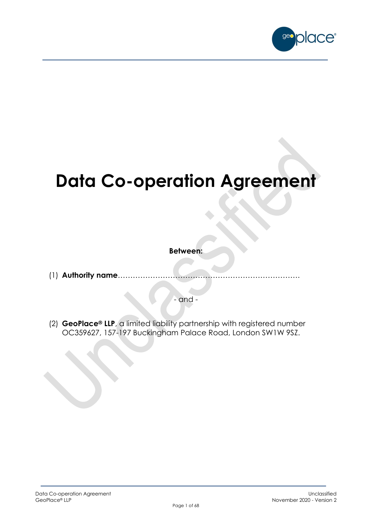

# **Data Co-operation Agreement**

#### **Between:**

(1) **Authority name**……………………………………………………………….

- and -

(2) **GeoPlace® LLP**, a limited liability partnership with registered number OC359627, 157-197 Buckingham Palace Road, London SW1W 9SZ.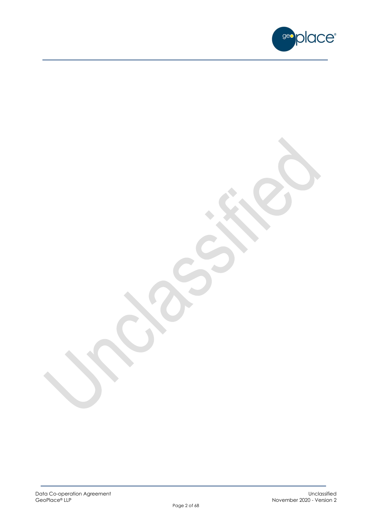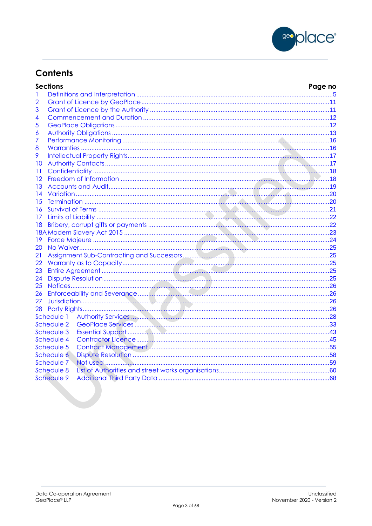

### **Contents**

| Ρ,<br>aae no |  |
|--------------|--|
|--------------|--|

|    | <b>Sections</b> | Page no |
|----|-----------------|---------|
|    |                 |         |
| 2  |                 |         |
| 3  |                 |         |
| 4  |                 |         |
| 5  |                 |         |
| 6  |                 |         |
| 7  |                 |         |
| 8  |                 |         |
| 9  |                 |         |
| 10 |                 |         |
| 11 |                 |         |
| 12 |                 |         |
| 13 |                 |         |
| 14 |                 |         |
| 15 |                 |         |
| 16 |                 |         |
| 17 |                 |         |
| 18 |                 |         |
|    |                 |         |
| 19 |                 |         |
| 20 |                 |         |
| 21 |                 |         |
| 22 |                 |         |
| 23 |                 |         |
| 24 |                 |         |
| 25 |                 |         |
| 26 |                 |         |
| 27 |                 |         |
| 28 |                 |         |
|    | Schedule 1      |         |
|    | Schedule 2      |         |
|    | Schedule 3      |         |
|    | Schedule 4      |         |
|    | Schedule 5      |         |
|    | Schedule 6      |         |
|    | Schedule 7      |         |
|    | Schedule 8      |         |
|    | Schedule 9      |         |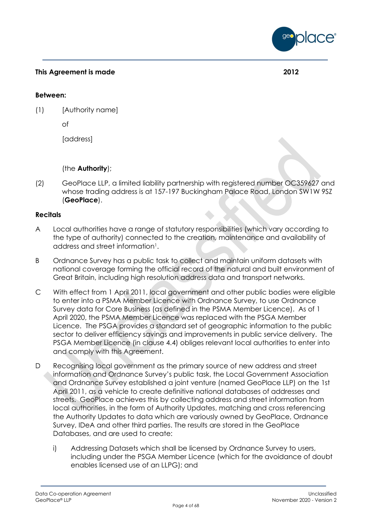

#### **This Agreement is made 2012**

**Between:**

(1) [Authority name]

of

[address]

#### (the **Authority**);

(2) GeoPlace LLP, a limited liability partnership with registered number OC359627 and whose trading address is at 157-197 Buckingham Palace Road, London SW1W 9SZ (**GeoPlace**).

#### **Recitals**

- A Local authorities have a range of statutory responsibilities (which vary according to the type of authority) connected to the creation, maintenance and availability of address and street information<sup>1</sup>.
- B Ordnance Survey has a public task to collect and maintain uniform datasets with national coverage forming the official record of the natural and built environment of Great Britain, including high resolution address data and transport networks.
- C With effect from 1 April 2011, local government and other public bodies were eligible to enter into a PSMA Member Licence with Ordnance Survey, to use Ordnance Survey data for Core Business (as defined in the PSMA Member Licence). As of 1 April 2020, the PSMA Member Licence was replaced with the PSGA Member Licence. The PSGA provides a standard set of geographic information to the public sector to deliver efficiency savings and improvements in public service delivery. The PSGA Member Licence (in clause 4.4) obliges relevant local authorities to enter into and comply with this Agreement.
- D Recognising local government as the primary source of new address and street information and Ordnance Survey's public task, the Local Government Association and Ordnance Survey established a joint venture (named GeoPlace LLP) on the 1st April 2011, as a vehicle to create definitive national databases of addresses and streets. GeoPlace achieves this by collecting address and street information from local authorities, in the form of Authority Updates, matching and cross referencing the Authority Updates to data which are variously owned by GeoPlace, Ordnance Survey, IDeA and other third parties. The results are stored in the GeoPlace Databases, and are used to create:
	- i) Addressing Datasets which shall be licensed by Ordnance Survey to users, including under the PSGA Member Licence (which for the avoidance of doubt enables licensed use of an LLPG); and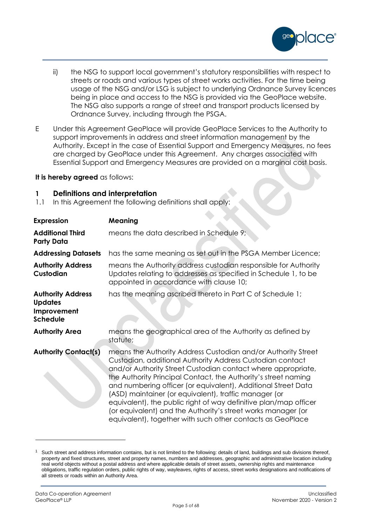

- ii) the NSG to support local government's statutory responsibilities with respect to streets or roads and various types of street works activities. For the time being usage of the NSG and/or LSG is subject to underlying Ordnance Survey licences being in place and access to the NSG is provided via the GeoPlace website. The NSG also supports a range of street and transport products licensed by Ordnance Survey, including through the PSGA.
- E Under this Agreement GeoPlace will provide GeoPlace Services to the Authority to support improvements in address and street information management by the Authority. Except in the case of Essential Support and Emergency Measures, no fees are charged by GeoPlace under this Agreement. Any charges associated with Essential Support and Emergency Measures are provided on a marginal cost basis.

<span id="page-4-0"></span>**It is hereby agreed** as follows:

#### **1 Definitions and interpretation**

1.1 In this Agreement the following definitions shall apply:

| <b>Expression</b>                                                            | Meaning                                                                                                                                                                                                                                                                                                                                                                                                                                                                                                                                                                                  |  |
|------------------------------------------------------------------------------|------------------------------------------------------------------------------------------------------------------------------------------------------------------------------------------------------------------------------------------------------------------------------------------------------------------------------------------------------------------------------------------------------------------------------------------------------------------------------------------------------------------------------------------------------------------------------------------|--|
| <b>Additional Third</b><br><b>Party Data</b>                                 | means the data described in Schedule 9;                                                                                                                                                                                                                                                                                                                                                                                                                                                                                                                                                  |  |
| <b>Addressing Datasets</b>                                                   | has the same meaning as set out in the PSGA Member Licence;                                                                                                                                                                                                                                                                                                                                                                                                                                                                                                                              |  |
| <b>Authority Address</b><br>Custodian                                        | means the Authority address custodian responsible for Authority<br>Updates relating to addresses as specified in Schedule 1, to be<br>appointed in accordance with clause 10;                                                                                                                                                                                                                                                                                                                                                                                                            |  |
| <b>Authority Address</b><br><b>Updates</b><br>Improvement<br><b>Schedule</b> | has the meaning ascribed thereto in Part C of Schedule 1;                                                                                                                                                                                                                                                                                                                                                                                                                                                                                                                                |  |
| <b>Authority Area</b>                                                        | means the geographical area of the Authority as defined by<br>statute;                                                                                                                                                                                                                                                                                                                                                                                                                                                                                                                   |  |
| <b>Authority Contact(s)</b>                                                  | means the Authority Address Custodian and/or Authority Street<br>Custodian, additional Authority Address Custodian contact<br>and/or Authority Street Custodian contact where appropriate,<br>the Authority Principal Contact, the Authority's street naming<br>and numbering officer (or equivalent), Additional Street Data<br>(ASD) maintainer (or equivalent), traffic manager (or<br>equivalent), the public right of way definitive plan/map officer<br>(or equivalent) and the Authority's street works manager (or<br>equivalent), together with such other contacts as GeoPlace |  |

Such street and address information contains, but is not limited to the following: details of land, buildings and sub divisions thereof, property and fixed structures, street and property names, numbers and addresses, geographic and administrative location including real world objects without a postal address and where applicable details of street assets, ownership rights and maintenance obligations, traffic regulation orders, public rights of way, wayleaves, rights of access, street works designations and notifications of all streets or roads within an Authority Area.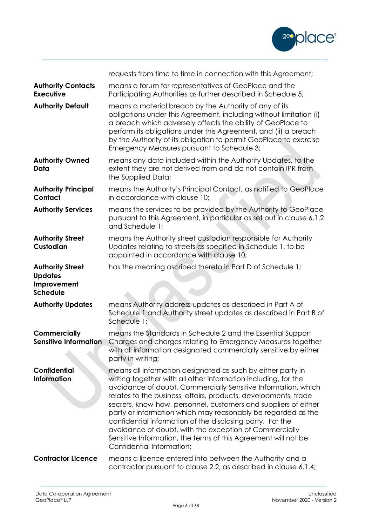

requests from time to time in connection with this Agreement;

| <b>Authority Contacts</b><br><b>Executive</b>                               | means a forum for representatives of GeoPlace and the<br>Participating Authorities as further described in Schedule 5;                                                                                                                                                                                                                                                                                                                                                                                                                                                                                                     |
|-----------------------------------------------------------------------------|----------------------------------------------------------------------------------------------------------------------------------------------------------------------------------------------------------------------------------------------------------------------------------------------------------------------------------------------------------------------------------------------------------------------------------------------------------------------------------------------------------------------------------------------------------------------------------------------------------------------------|
| <b>Authority Default</b>                                                    | means a material breach by the Authority of any of its<br>obligations under this Agreement, including without limitation (i)<br>a breach which adversely affects the ability of GeoPlace to<br>perform its obligations under this Agreement, and (ii) a breach<br>by the Authority of its obligation to permit GeoPlace to exercise<br>Emergency Measures pursuant to Schedule 3;                                                                                                                                                                                                                                          |
| <b>Authority Owned</b><br>Data                                              | means any data included within the Authority Updates, to the<br>extent they are not derived from and do not contain IPR from<br>the Supplied Data;                                                                                                                                                                                                                                                                                                                                                                                                                                                                         |
| <b>Authority Principal</b><br>Contact                                       | means the Authority's Principal Contact, as notified to GeoPlace<br>in accordance with clause 10;                                                                                                                                                                                                                                                                                                                                                                                                                                                                                                                          |
| <b>Authority Services</b>                                                   | means the services to be provided by the Authority to GeoPlace<br>pursuant to this Agreement, in particular as set out in clause 6.1.2<br>and Schedule 1:                                                                                                                                                                                                                                                                                                                                                                                                                                                                  |
| <b>Authority Street</b><br>Custodian                                        | means the Authority street custodian responsible for Authority<br>Updates relating to streets as specified in Schedule 1, to be<br>appointed in accordance with clause 10;                                                                                                                                                                                                                                                                                                                                                                                                                                                 |
| <b>Authority Street</b><br><b>Updates</b><br>Improvement<br><b>Schedule</b> | has the meaning ascribed thereto in Part D of Schedule 1;                                                                                                                                                                                                                                                                                                                                                                                                                                                                                                                                                                  |
| <b>Authority Updates</b>                                                    | means Authority address updates as described in Part A of<br>Schedule 1 and Authority street updates as described in Part B of<br>Schedule 1;                                                                                                                                                                                                                                                                                                                                                                                                                                                                              |
| <b>Commercially</b><br><b>Sensitive Information</b>                         | means the Standards in Schedule 2 and the Essential Support<br>Charges and charges relating to Emergency Measures together<br>with all information designated commercially sensitive by either<br>party in writing;                                                                                                                                                                                                                                                                                                                                                                                                        |
| <b>Confidential</b><br><b>Information</b>                                   | means all information designated as such by either party in<br>writing together with all other information including, for the<br>avoidance of doubt, Commercially Sensitive Information, which<br>relates to the business, affairs, products, developments, trade<br>secrets, know-how, personnel, customers and suppliers of either<br>party or information which may reasonably be regarded as the<br>confidential information of the disclosing party. For the<br>avoidance of doubt, with the exception of Commercially<br>Sensitive Information, the terms of this Agreement will not be<br>Confidential Information; |
| <b>Contractor Licence</b>                                                   | means a licence entered into between the Authority and a<br>contractor pursuant to clause 2.2, as described in clause 6.1.4;                                                                                                                                                                                                                                                                                                                                                                                                                                                                                               |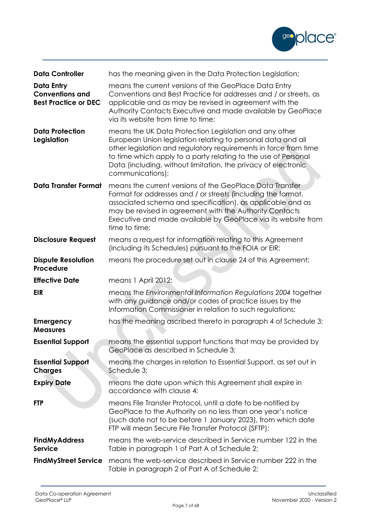

| <b>Data Controller</b>                                              | has the meaning given in the Data Protection Legislation;                                                                                                                                                                                                                                                                                          |
|---------------------------------------------------------------------|----------------------------------------------------------------------------------------------------------------------------------------------------------------------------------------------------------------------------------------------------------------------------------------------------------------------------------------------------|
| Data Entry<br><b>Conventions and</b><br><b>Best Practice or DEC</b> | means the current versions of the GeoPlace Data Entry<br>Conventions and Best Practice for addresses and / or streets, as<br>applicable and as may be revised in agreement with the<br>Authority Contacts Executive and made available by GeoPlace<br>via its website from time to time;                                                           |
| <b>Data Protection</b><br>Legislation                               | means the UK Data Protection Legislation and any other<br>European Union legislation relating to personal data and all<br>other legislation and regulatory requirements in force from time<br>to time which apply to a party relating to the use of Personal<br>Data (including, without limitation, the privacy of electronic<br>communications); |
| <b>Data Transfer Format</b>                                         | means the current versions of the GeoPlace Data Transfer<br>Format for addresses and / or streets (including the format,<br>associated schema and specification), as applicable and as<br>may be revised in agreement with the Authority Contacts<br>Executive and made available by GeoPlace via its website from<br>time to time:                |
| <b>Disclosure Request</b>                                           | means a request for information relating to this Agreement<br>(including its Schedules) pursuant to the FOIA or EIR;                                                                                                                                                                                                                               |
| <b>Dispute Resolution</b><br><b>Procedure</b>                       | means the procedure set out in clause 24 of this Agreement;                                                                                                                                                                                                                                                                                        |
| <b>Effective Date</b>                                               | means 1 April 2012;                                                                                                                                                                                                                                                                                                                                |
| <b>EIR</b>                                                          | means the Environmental Information Regulations 2004 together<br>with any guidance and/or codes of practice issues by the<br>Information Commissioner in relation to such regulations;                                                                                                                                                             |
| <b>Emergency</b><br><b>Measures</b>                                 | has the meaning ascribed thereto in paragraph 4 of Schedule 3;                                                                                                                                                                                                                                                                                     |
| <b>Essential Support</b>                                            | means the essential support functions that may be provided by<br>GeoPlace as described in Schedule 3;                                                                                                                                                                                                                                              |
| <b>Essential Support</b><br><b>Charges</b>                          | means the charges in relation to Essential Support, as set out in<br>Schedule 3;                                                                                                                                                                                                                                                                   |
| <b>Expiry Date</b>                                                  | means the date upon which this Agreement shall expire in<br>accordance with clause 4;                                                                                                                                                                                                                                                              |
| <b>FTP</b>                                                          | means File Transfer Protocol, until a date to be notified by<br>GeoPlace to the Authority on no less than one year's notice<br>(such date not to be before 1 January 2023), from which date<br>FTP will mean Secure File Transfer Protocol (SFTP);                                                                                                 |
| <b>FindMyAddress</b><br><b>Service</b>                              | means the web-service described in Service number 122 in the<br>Table in paragraph 1 of Part A of Schedule 2;                                                                                                                                                                                                                                      |
| <b>FindMyStreet Service</b>                                         | means the web-service described in Service number 222 in the<br>Table in paragraph 2 of Part A of Schedule 2;                                                                                                                                                                                                                                      |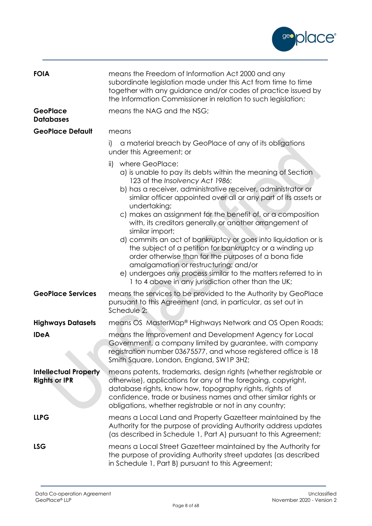

| <b>FOIA</b>                                          | means the Freedom of Information Act 2000 and any<br>subordinate legislation made under this Act from time to time<br>together with any guidance and/or codes of practice issued by<br>the Information Commissioner in relation to such legislation;                                                                                                                                                                                                                                                                                                                                                                                                                                                                                                                             |  |
|------------------------------------------------------|----------------------------------------------------------------------------------------------------------------------------------------------------------------------------------------------------------------------------------------------------------------------------------------------------------------------------------------------------------------------------------------------------------------------------------------------------------------------------------------------------------------------------------------------------------------------------------------------------------------------------------------------------------------------------------------------------------------------------------------------------------------------------------|--|
| <b>GeoPlace</b><br><b>Databases</b>                  | means the NAG and the NSG;                                                                                                                                                                                                                                                                                                                                                                                                                                                                                                                                                                                                                                                                                                                                                       |  |
| <b>GeoPlace Default</b>                              | means                                                                                                                                                                                                                                                                                                                                                                                                                                                                                                                                                                                                                                                                                                                                                                            |  |
|                                                      | a material breach by GeoPlace of any of its obligations<br>i)<br>under this Agreement; or                                                                                                                                                                                                                                                                                                                                                                                                                                                                                                                                                                                                                                                                                        |  |
|                                                      | where GeoPlace:<br>ii)<br>a) is unable to pay its debts within the meaning of Section<br>123 of the Insolvency Act 1986;<br>b) has a receiver, administrative receiver, administrator or<br>similar officer appointed over all or any part of its assets or<br>undertaking;<br>c) makes an assignment for the benefit of, or a composition<br>with, its creditors generally or another arrangement of<br>similar import;<br>d) commits an act of bankruptcy or goes into liquidation or is<br>the subject of a petition for bankruptcy or a winding up<br>order otherwise than for the purposes of a bona fide<br>amalgamation or restructuring; and/or<br>e) undergoes any process similar to the matters referred to in<br>1 to 4 above in any jurisdiction other than the UK; |  |
| <b>GeoPlace Services</b>                             | means the services to be provided to the Authority by GeoPlace<br>pursuant to this Agreement (and, in particular, as set out in<br>Schedule 2;                                                                                                                                                                                                                                                                                                                                                                                                                                                                                                                                                                                                                                   |  |
| <b>Highways Datasets</b>                             | means OS MasterMap® Highways Network and OS Open Roads;                                                                                                                                                                                                                                                                                                                                                                                                                                                                                                                                                                                                                                                                                                                          |  |
| <b>IDeA</b>                                          | means the Improvement and Development Agency for Local<br>Government, a company limited by guarantee, with company<br>registration number 03675577, and whose registered office is 18<br>Smith Square, London, England, SW1P 3HZ;                                                                                                                                                                                                                                                                                                                                                                                                                                                                                                                                                |  |
| <b>Intellectual Property</b><br><b>Rights or IPR</b> | means patents, trademarks, design rights (whether registrable or<br>otherwise), applications for any of the foregoing, copyright,<br>database rights, know how, topography rights, rights of<br>confidence, trade or business names and other similar rights or<br>obligations, whether registrable or not in any country;                                                                                                                                                                                                                                                                                                                                                                                                                                                       |  |
| <b>LLPG</b>                                          | means a Local Land and Property Gazetteer maintained by the<br>Authority for the purpose of providing Authority address updates<br>(as described in Schedule 1, Part A) pursuant to this Agreement;                                                                                                                                                                                                                                                                                                                                                                                                                                                                                                                                                                              |  |
| <b>LSG</b>                                           | means a Local Street Gazetteer maintained by the Authority for<br>the purpose of providing Authority street updates (as described<br>in Schedule 1, Part B) pursuant to this Agreement;                                                                                                                                                                                                                                                                                                                                                                                                                                                                                                                                                                                          |  |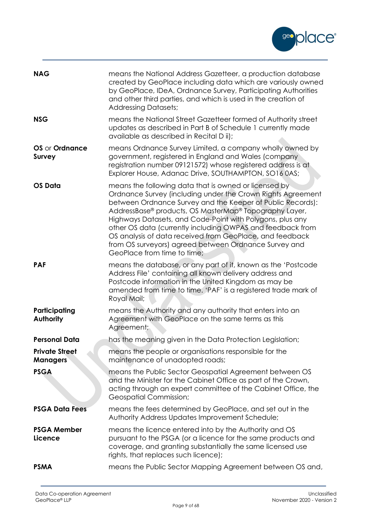

| <b>NAG</b>                               | means the National Address Gazetteer, a production database<br>created by GeoPlace including data which are variously owned<br>by GeoPlace, IDeA, Ordnance Survey, Participating Authorities<br>and other third parties, and which is used in the creation of<br><b>Addressing Datasets;</b>                                                                                                                                                                                                                                |  |
|------------------------------------------|-----------------------------------------------------------------------------------------------------------------------------------------------------------------------------------------------------------------------------------------------------------------------------------------------------------------------------------------------------------------------------------------------------------------------------------------------------------------------------------------------------------------------------|--|
| <b>NSG</b>                               | means the National Street Gazetteer formed of Authority street<br>updates as described in Part B of Schedule 1 currently made<br>available as described in Recital D ii);                                                                                                                                                                                                                                                                                                                                                   |  |
| OS or Ordnance<br><b>Survey</b>          | means Ordnance Survey Limited, a company wholly owned by<br>government, registered in England and Wales (company<br>registration number 09121572) whose registered address is at<br>Explorer House, Adanac Drive, SOUTHAMPTON, SO16 0AS;                                                                                                                                                                                                                                                                                    |  |
| <b>OS Data</b>                           | means the following data that is owned or licensed by<br>Ordnance Survey (including under the Crown Rights Agreement<br>between Ordnance Survey and the Keeper of Public Records):<br>AddressBase® products, OS MasterMap® Topography Layer,<br>Highways Datasets, and Code-Point with Polygons, plus any<br>other OS data (currently including OWPAS and feedback from<br>OS analysis of data received from GeoPlace, and feedback<br>from OS surveyors) agreed between Ordnance Survey and<br>GeoPlace from time to time; |  |
| <b>PAF</b>                               | means the database, or any part of it, known as the 'Postcode<br>Address File' containing all known delivery address and<br>Postcode information in the United Kingdom as may be<br>amended from time to time. 'PAF' is a registered trade mark of<br>Royal Mail;                                                                                                                                                                                                                                                           |  |
| Participating<br>Authority               | means the Authority and any authority that enters into an<br>Agreement with GeoPlace on the same terms as this<br>Agreement;                                                                                                                                                                                                                                                                                                                                                                                                |  |
| <b>Personal Data</b>                     | has the meaning given in the Data Protection Legislation;                                                                                                                                                                                                                                                                                                                                                                                                                                                                   |  |
| <b>Private Street</b><br><b>Managers</b> | means the people or organisations responsible for the<br>maintenance of unadopted roads;                                                                                                                                                                                                                                                                                                                                                                                                                                    |  |
| <b>PSGA</b>                              | means the Public Sector Geospatial Agreement between OS<br>and the Minister for the Cabinet Office as part of the Crown,<br>acting through an expert committee of the Cabinet Office, the<br><b>Geospatial Commission;</b>                                                                                                                                                                                                                                                                                                  |  |
| <b>PSGA Data Fees</b>                    | means the fees determined by GeoPlace, and set out in the<br>Authority Address Updates Improvement Schedule;                                                                                                                                                                                                                                                                                                                                                                                                                |  |
| <b>PSGA Member</b><br>Licence            | means the licence entered into by the Authority and OS<br>pursuant to the PSGA (or a licence for the same products and<br>coverage, and granting substantially the same licensed use<br>rights, that replaces such licence);                                                                                                                                                                                                                                                                                                |  |
| <b>PSMA</b>                              | means the Public Sector Mapping Agreement between OS and,                                                                                                                                                                                                                                                                                                                                                                                                                                                                   |  |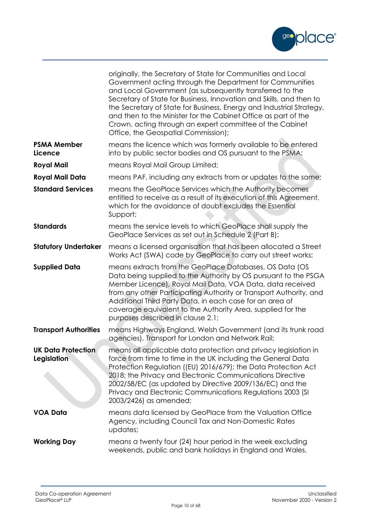

|                                          | originally, the Secretary of State for Communities and Local<br>Government acting through the Department for Communities<br>and Local Government (as subsequently transferred to the<br>Secretary of State for Business, Innovation and Skills, and then to<br>the Secretary of State for Business, Energy and Industrial Strategy,<br>and then to the Minister for the Cabinet Office as part of the<br>Crown, acting through an expert committee of the Cabinet<br>Office, the Geospatial Commission); |
|------------------------------------------|----------------------------------------------------------------------------------------------------------------------------------------------------------------------------------------------------------------------------------------------------------------------------------------------------------------------------------------------------------------------------------------------------------------------------------------------------------------------------------------------------------|
| <b>PSMA Member</b><br>Licence            | means the licence which was formerly available to be entered<br>into by public sector bodies and OS pursuant to the PSMA;                                                                                                                                                                                                                                                                                                                                                                                |
| <b>Royal Mail</b>                        | means Royal Mail Group Limited;                                                                                                                                                                                                                                                                                                                                                                                                                                                                          |
| <b>Royal Mail Data</b>                   | means PAF, including any extracts from or updates to the same;                                                                                                                                                                                                                                                                                                                                                                                                                                           |
| <b>Standard Services</b>                 | means the GeoPlace Services which the Authority becomes<br>entitled to receive as a result of its execution of this Agreement,<br>which for the avoidance of doubt excludes the Essential<br>Support;                                                                                                                                                                                                                                                                                                    |
| <b>Standards</b>                         | means the service levels to which GeoPlace shall supply the<br>GeoPlace Services as set out in Schedule 2 (Part B);                                                                                                                                                                                                                                                                                                                                                                                      |
| <b>Statutory Undertaker</b>              | means a licensed organisation that has been allocated a Street<br>Works Act (SWA) code by GeoPlace to carry out street works;                                                                                                                                                                                                                                                                                                                                                                            |
| <b>Supplied Data</b>                     | means extracts from the GeoPlace Databases, OS Data (OS<br>Data being supplied to the Authority by OS pursuant to the PSGA                                                                                                                                                                                                                                                                                                                                                                               |
|                                          | Member Licence), Royal Mail Data, VOA Data, data received<br>from any other Participating Authority or Transport Authority, and<br>Additional Third Party Data, in each case for an area of<br>coverage equivalent to the Authority Area, supplied for the<br>purposes described in clause 2.1;                                                                                                                                                                                                          |
| <b>Transport Authorities</b>             | means Highways England, Welsh Government (and its trunk road<br>agencies), Transport for London and Network Rail;                                                                                                                                                                                                                                                                                                                                                                                        |
| <b>UK Data Protection</b><br>Legislation | means all applicable data protection and privacy legislation in<br>force from time to time in the UK including the General Data<br>Protection Regulation ((EU) 2016/679); the Data Protection Act<br>2018; the Privacy and Electronic Communications Directive<br>2002/58/EC (as updated by Directive 2009/136/EC) and the<br>Privacy and Electronic Communications Regulations 2003 (SI<br>2003/2426) as amended;                                                                                       |
| <b>VOA Data</b>                          | means data licensed by GeoPlace from the Valuation Office<br>Agency, including Council Tax and Non-Domestic Rates<br>updates;                                                                                                                                                                                                                                                                                                                                                                            |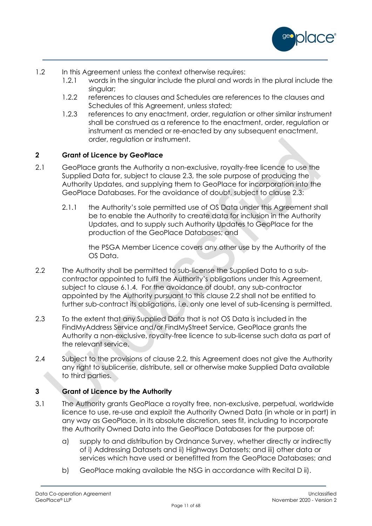

- 1.2 In this Agreement unless the context otherwise requires:
	- 1.2.1 words in the singular include the plural and words in the plural include the singular;
	- 1.2.2 references to clauses and Schedules are references to the clauses and Schedules of this Agreement, unless stated;
	- 1.2.3 references to any enactment, order, regulation or other similar instrument shall be construed as a reference to the enactment, order, regulation or instrument as mended or re-enacted by any subsequent enactment, order, regulation or instrument.

#### <span id="page-10-0"></span>**2 Grant of Licence by GeoPlace**

- 2.1 GeoPlace grants the Authority a non-exclusive, royalty-free licence to use the Supplied Data for, subject to clause 2.3, the sole purpose of producing the Authority Updates, and supplying them to GeoPlace for incorporation into the GeoPlace Databases. For the avoidance of doubt, subject to clause 2.3:
	- 2.1.1 the Authority's sole permitted use of OS Data under this Agreement shall be to enable the Authority to create data for inclusion in the Authority Updates, and to supply such Authority Updates to GeoPlace for the production of the GeoPlace Databases; and

the PSGA Member Licence covers any other use by the Authority of the OS Data.

- 2.2 The Authority shall be permitted to sub-license the Supplied Data to a subcontractor appointed to fulfil the Authority's obligations under this Agreement, subject to clause 6.1.4. For the avoidance of doubt, any sub-contractor appointed by the Authority pursuant to this clause 2.2 shall not be entitled to further sub-contract its obligations, i.e. only one level of sub-licensing is permitted.
- 2.3 To the extent that any Supplied Data that is not OS Data is included in the FindMyAddress Service and/or FindMyStreet Service, GeoPlace grants the Authority a non-exclusive, royalty-free licence to sub-license such data as part of the relevant service.
- 2.4 Subject to the provisions of clause 2.2, this Agreement does not give the Authority any right to sublicense, distribute, sell or otherwise make Supplied Data available to third parties.

#### <span id="page-10-1"></span>**3 Grant of Licence by the Authority**

- 3.1 The Authority grants GeoPlace a royalty free, non-exclusive, perpetual, worldwide licence to use, re-use and exploit the Authority Owned Data (in whole or in part) in any way as GeoPlace, in its absolute discretion, sees fit, including to incorporate the Authority Owned Data into the GeoPlace Databases for the purpose of:
	- a) supply to and distribution by Ordnance Survey, whether directly or indirectly of i) Addressing Datasets and ii) Highways Datasets; and iii) other data or services which have used or benefitted from the GeoPlace Databases; and
	- b) GeoPlace making available the NSG in accordance with Recital D ii).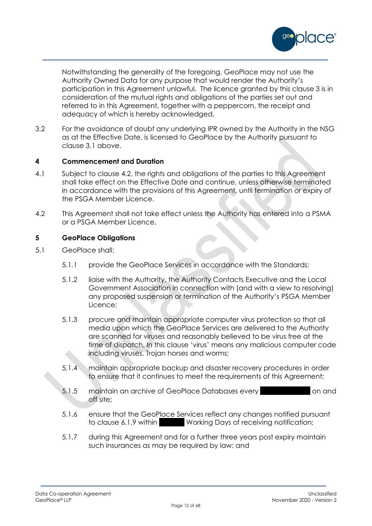

Notwithstanding the generality of the foregoing, GeoPlace may not use the Authority Owned Data for any purpose that would render the Authority's participation in this Agreement unlawful. The licence granted by this clause 3 is in consideration of the mutual rights and obligations of the parties set out and referred to in this Agreement, together with a peppercorn, the receipt and adequacy of which is hereby acknowledged.

3.2 For the avoidance of doubt any underlying IPR owned by the Authority in the NSG as at the Effective Date, is licensed to GeoPlace by the Authority pursuant to clause 3.1 above.

#### <span id="page-11-0"></span>**4 Commencement and Duration**

- 4.1 Subject to clause 4.2, the rights and obligations of the parties to this Agreement shall take effect on the Effective Date and continue, unless otherwise terminated in accordance with the provisions of this Agreement, until termination or expiry of the PSGA Member Licence.
- 4.2 This Agreement shall not take effect unless the Authority has entered into a PSMA or a PSGA Member Licence.

#### <span id="page-11-1"></span>**5 GeoPlace Obligations**

- 5.1 GeoPlace shall:
	- 5.1.1 provide the GeoPlace Services in accordance with the Standards;
	- 5.1.2 liaise with the Authority, the Authority Contacts Executive and the Local Government Association in connection with (and with a view to resolving) any proposed suspension or termination of the Authority's PSGA Member Licence;
	- 5.1.3 procure and maintain appropriate computer virus protection so that all media upon which the GeoPlace Services are delivered to the Authority are scanned for viruses and reasonably believed to be virus free at the time of dispatch. In this clause 'virus' means any malicious computer code including viruses, Trojan horses and worms;
	- 5.1.4 maintain appropriate backup and disaster recovery procedures in order to ensure that it continues to meet the requirements of this Agreement;
	- 5.1.5 maintain an archive of GeoPlace Databases every state on and off site;
	- 5.1.6 ensure that the GeoPlace Services reflect any changes notified pursuant to clause 6.1.9 within **Working Days of receiving notification**:
	- 5.1.7 during this Agreement and for a further three years post expiry maintain such insurances as may be required by law; and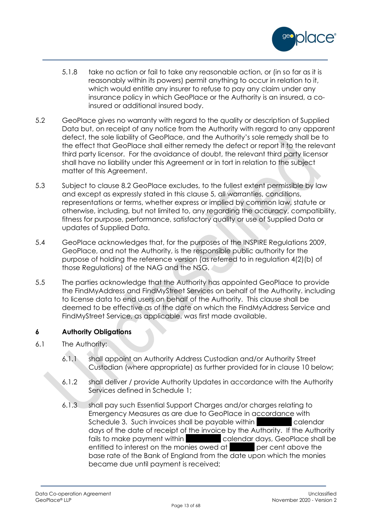

- 5.1.8 take no action or fail to take any reasonable action, or (in so far as it is reasonably within its powers) permit anything to occur in relation to it, which would entitle any insurer to refuse to pay any claim under any insurance policy in which GeoPlace or the Authority is an insured, a coinsured or additional insured body.
- 5.2 GeoPlace gives no warranty with regard to the quality or description of Supplied Data but, on receipt of any notice from the Authority with regard to any apparent defect, the sole liability of GeoPlace, and the Authority's sole remedy shall be to the effect that GeoPlace shall either remedy the defect or report it to the relevant third party licensor. For the avoidance of doubt, the relevant third party licensor shall have no liability under this Agreement or in tort in relation to the subject matter of this Agreement.
- 5.3 Subject to clause 8.2 GeoPlace excludes, to the fullest extent permissible by law and except as expressly stated in this clause 5, all warranties, conditions, representations or terms, whether express or implied by common law, statute or otherwise, including, but not limited to, any regarding the accuracy, compatibility, fitness for purpose, performance, satisfactory quality or use of Supplied Data or updates of Supplied Data.
- 5.4 GeoPlace acknowledges that, for the purposes of the INSPIRE Regulations 2009, GeoPlace, and not the Authority, is the responsible public authority for the purpose of holding the reference version (as referred to in regulation 4(2)(b) of those Regulations) of the NAG and the NSG.
- 5.5 The parties acknowledge that the Authority has appointed GeoPlace to provide the FindMyAddress and FindMyStreet Services on behalf of the Authority. including to license data to end users on behalf of the Authority. This clause shall be deemed to be effective as of the date on which the FindMyAddress Service and FindMyStreet Service, as applicable, was first made available.

#### <span id="page-12-0"></span>**6 Authority Obligations**

- 6.1 The Authority:
	- 6.1.1 shall appoint an Authority Address Custodian and/or Authority Street Custodian (where appropriate) as further provided for in clause 10 below;
	- 6.1.2 shall deliver / provide Authority Updates in accordance with the Authority Services defined in Schedule 1;
	- 6.1.3 shall pay such Essential Support Charges and/or charges relating to Emergency Measures as are due to GeoPlace in accordance with Schedule 3. Such invoices shall be payable within values and calendar days of the date of receipt of the invoice by the Authority. If the Authority fails to make payment within **xxx calendar days**, GeoPlace shall be entitled to interest on the monies owed at zaid per cent above the base rate of the Bank of England from the date upon which the monies became due until payment is received;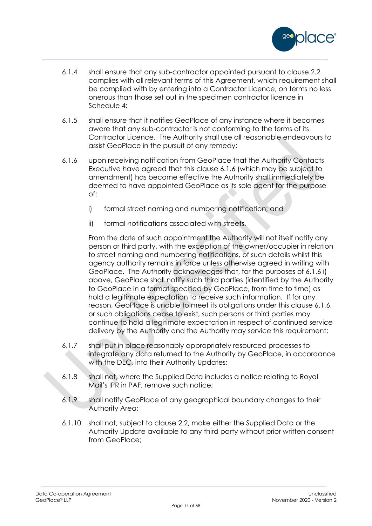

- 6.1.4 shall ensure that any sub-contractor appointed pursuant to clause 2.2 complies with all relevant terms of this Agreement, which requirement shall be complied with by entering into a Contractor Licence, on terms no less onerous than those set out in the specimen contractor licence in Schedule 4;
- 6.1.5 shall ensure that it notifies GeoPlace of any instance where it becomes aware that any sub-contractor is not conforming to the terms of its Contractor Licence. The Authority shall use all reasonable endeavours to assist GeoPlace in the pursuit of any remedy;
- 6.1.6 upon receiving notification from GeoPlace that the Authority Contacts Executive have agreed that this clause 6.1.6 (which may be subject to amendment) has become effective the Authority shall immediately be deemed to have appointed GeoPlace as its sole agent for the purpose of:
	- i) formal street naming and numbering notification; and
	- ii) formal notifications associated with streets.

From the date of such appointment the Authority will not itself notify any person or third party, with the exception of the owner/occupier in relation to street naming and numbering notifications, of such details whilst this agency authority remains in force unless otherwise agreed in writing with GeoPlace. The Authority acknowledges that, for the purposes of 6.1.6 i) above, GeoPlace shall notify such third parties (identified by the Authority to GeoPlace in a format specified by GeoPlace, from time to time) as hold a legitimate expectation to receive such information. If for any reason, GeoPlace is unable to meet its obligations under this clause 6.1.6, or such obligations cease to exist, such persons or third parties may continue to hold a legitimate expectation in respect of continued service delivery by the Authority and the Authority may service this requirement;

- 6.1.7 shall put in place reasonably appropriately resourced processes to integrate any data returned to the Authority by GeoPlace, in accordance with the DEC, into their Authority Updates;
- 6.1.8 shall not, where the Supplied Data includes a notice relating to Royal Mail's IPR in PAF, remove such notice;
- 6.1.9 shall notify GeoPlace of any geographical boundary changes to their Authority Area;
- 6.1.10 shall not, subject to clause 2.2, make either the Supplied Data or the Authority Update available to any third party without prior written consent from GeoPlace;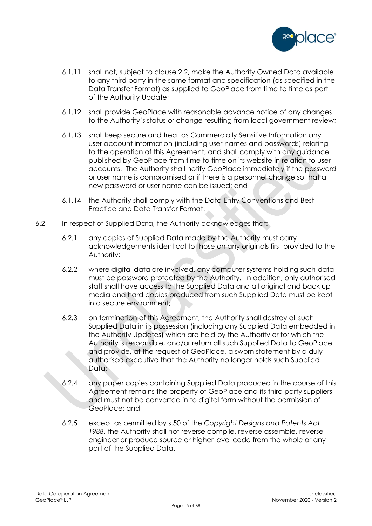

- 6.1.11 shall not, subject to clause 2.2, make the Authority Owned Data available to any third party in the same format and specification (as specified in the Data Transfer Format) as supplied to GeoPlace from time to time as part of the Authority Update;
- 6.1.12 shall provide GeoPlace with reasonable advance notice of any changes to the Authority's status or change resulting from local government review;
- 6.1.13 shall keep secure and treat as Commercially Sensitive Information any user account information (including user names and passwords) relating to the operation of this Agreement, and shall comply with any guidance published by GeoPlace from time to time on its website in relation to user accounts. The Authority shall notify GeoPlace immediately if the password or user name is compromised or if there is a personnel change so that a new password or user name can be issued; and
- 6.1.14 the Authority shall comply with the Data Entry Conventions and Best Practice and Data Transfer Format.
- 6.2 In respect of Supplied Data, the Authority acknowledges that:
	- 6.2.1 any copies of Supplied Data made by the Authority must carry acknowledgements identical to those on any originals first provided to the Authority;
	- 6.2.2 where digital data are involved, any computer systems holding such data must be password protected by the Authority. In addition, only authorised staff shall have access to the Supplied Data and all original and back up media and hard copies produced from such Supplied Data must be kept in a secure environment;
	- 6.2.3 on termination of this Agreement, the Authority shall destroy all such Supplied Data in its possession (including any Supplied Data embedded in the Authority Updates) which are held by the Authority or for which the Authority is responsible, and/or return all such Supplied Data to GeoPlace and provide, at the request of GeoPlace, a sworn statement by a duly authorised executive that the Authority no longer holds such Supplied Data:
	- 6.2.4 any paper copies containing Supplied Data produced in the course of this Agreement remains the property of GeoPlace and its third party suppliers and must not be converted in to digital form without the permission of GeoPlace; and
	- 6.2.5 except as permitted by s.50 of the *Copyright Designs and Patents Act 1988*, the Authority shall not reverse compile, reverse assemble, reverse engineer or produce source or higher level code from the whole or any part of the Supplied Data.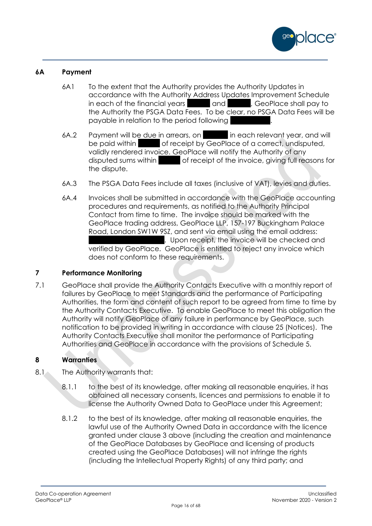

#### **6A Payment**

- 6A1 To the extent that the Authority provides the Authority Updates in accordance with the Authority Address Updates Improvement Schedule in each of the financial years and xxx and year both ceoplace shall pay to the Authority the PSGA Data Fees. To be clear, no PSGA Data Fees will be payable in relation to the period following
- 6A.2 Payment will be due in arrears, on  $\frac{1}{2}$  in each relevant year, and will be paid within  $\overline{\phantom{a}}$  of receipt by GeoPlace of a correct, undisputed, validly rendered invoice. GeoPlace will notify the Authority of any disputed sums within of receipt of the invoice, giving full reasons for the dispute.
- 6A.3 The PSGA Data Fees include all taxes (inclusive of VAT), levies and duties.
- 6A.4 Invoices shall be submitted in accordance with the GeoPlace accounting procedures and requirements, as notified to the Authority Principal Contact from time to time. The invoice should be marked with the GeoPlace trading address, GeoPlace LLP, 157-197 Buckingham Palace Road, London SW1W 9SZ, and sent via email using the email address: . Upon receipt, the invoice will be checked and verified by GeoPlace. GeoPlace is entitled to reject any invoice which does not conform to these requirements.

#### <span id="page-15-0"></span>**7 Performance Monitoring**

7.1 GeoPlace shall provide the Authority Contacts Executive with a monthly report of failures by GeoPlace to meet Standards and the performance of Participating Authorities, the form and content of such report to be agreed from time to time by the Authority Contacts Executive. To enable GeoPlace to meet this obligation the Authority will notify GeoPlace of any failure in performance by GeoPlace, such notification to be provided in writing in accordance with clause 25 (Notices). The Authority Contacts Executive shall monitor the performance of Participating Authorities and GeoPlace in accordance with the provisions of Schedule 5.

#### <span id="page-15-1"></span>**8 Warranties**

- 8.1 The Authority warrants that:
	- 8.1.1 to the best of its knowledge, after making all reasonable enquiries, it has obtained all necessary consents, licences and permissions to enable it to license the Authority Owned Data to GeoPlace under this Agreement;
	- 8.1.2 to the best of its knowledge, after making all reasonable enquiries, the lawful use of the Authority Owned Data in accordance with the licence granted under clause 3 above (including the creation and maintenance of the GeoPlace Databases by GeoPlace and licensing of products created using the GeoPlace Databases) will not infringe the rights (including the Intellectual Property Rights) of any third party; and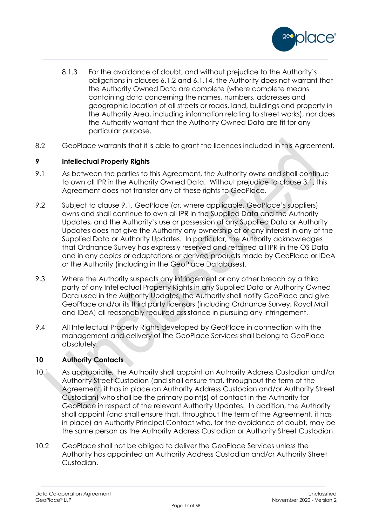

- 8.1.3 For the avoidance of doubt, and without prejudice to the Authority's obligations in clauses 6.1.2 and 6.1.14, the Authority does not warrant that the Authority Owned Data are complete (where complete means containing data concerning the names, numbers, addresses and geographic location of all streets or roads, land, buildings and property in the Authority Area, including information relating to street works), nor does the Authority warrant that the Authority Owned Data are fit for any particular purpose.
- 8.2 GeoPlace warrants that it is able to grant the licences included in this Agreement.

#### <span id="page-16-0"></span>**9 Intellectual Property Rights**

- 9.1 As between the parties to this Agreement, the Authority owns and shall continue to own all IPR in the Authority Owned Data. Without prejudice to clause 3.1, this Agreement does not transfer any of these rights to GeoPlace.
- 9.2 Subject to clause 9.1, GeoPlace (or, where applicable, GeoPlace's suppliers) owns and shall continue to own all IPR in the Supplied Data and the Authority Updates, and the Authority's use or possession of any Supplied Data or Authority Updates does not give the Authority any ownership of or any interest in any of the Supplied Data or Authority Updates. In particular, the Authority acknowledges that Ordnance Survey has expressly reserved and retained all IPR in the OS Data and in any copies or adaptations or derived products made by GeoPlace or IDeA or the Authority (including in the GeoPlace Databases).
- 9.3 Where the Authority suspects any infringement or any other breach by a third party of any Intellectual Property Rights in any Supplied Data or Authority Owned Data used in the Authority Updates, the Authority shall notify GeoPlace and give GeoPlace and/or its third party licensors (including Ordnance Survey, Royal Mail and IDeA) all reasonably required assistance in pursuing any infringement.
- 9.4 All Intellectual Property Rights developed by GeoPlace in connection with the management and delivery of the GeoPlace Services shall belong to GeoPlace absolutely.

#### <span id="page-16-1"></span>**10 Authority Contacts**

- 10.1 As appropriate, the Authority shall appoint an Authority Address Custodian and/or Authority Street Custodian (and shall ensure that, throughout the term of the Agreement, it has in place an Authority Address Custodian and/or Authority Street Custodian) who shall be the primary point(s) of contact in the Authority for GeoPlace in respect of the relevant Authority Updates. In addition, the Authority shall appoint (and shall ensure that, throughout the term of the Agreement, it has in place) an Authority Principal Contact who, for the avoidance of doubt, may be the same person as the Authority Address Custodian or Authority Street Custodian.
- 10.2 GeoPlace shall not be obliged to deliver the GeoPlace Services unless the Authority has appointed an Authority Address Custodian and/or Authority Street Custodian.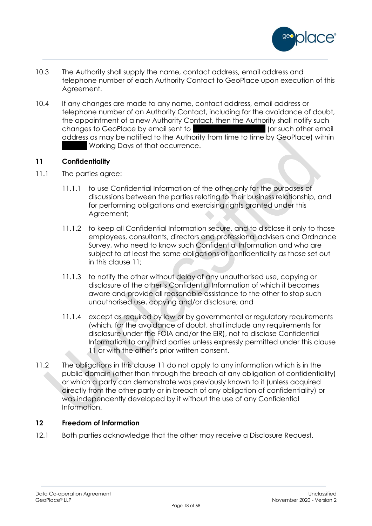

- 10.3 The Authority shall supply the name, contact address, email address and telephone number of each Authority Contact to GeoPlace upon execution of this Agreement.
- 10.4 If any changes are made to any name, contact address, email address or telephone number of an Authority Contact, including for the avoidance of doubt, the appointment of a new Authority Contact, then the Authority shall notify such changes to GeoPlace by email sent to xxxxxxxxxxxxxx (or such other email address as may be notified to the Authority from time to time by GeoPlace) within Working Days of that occurrence.

#### <span id="page-17-0"></span>**11 Confidentiality**

- 11.1 The parties agree:
	- 11.1.1 to use Confidential Information of the other only for the purposes of discussions between the parties relating to their business relationship, and for performing obligations and exercising rights granted under this Agreement:
	- 11.1.2 to keep all Confidential Information secure, and to disclose it only to those employees, consultants, directors and professional advisers and Ordnance Survey, who need to know such Confidential Information and who are subject to at least the same obligations of confidentiality as those set out in this clause 11;
	- 11.1.3 to notify the other without delay of any unauthorised use, copying or disclosure of the other's Confidential Information of which it becomes aware and provide all reasonable assistance to the other to stop such unauthorised use, copying and/or disclosure; and
	- 11.1.4 except as required by law or by governmental or regulatory requirements (which, for the avoidance of doubt, shall include any requirements for disclosure under the FOIA and/or the EIR), not to disclose Confidential Information to any third parties unless expressly permitted under this clause 11 or with the other's prior written consent.
- 11.2 The obligations in this clause 11 do not apply to any information which is in the public domain (other than through the breach of any obligation of confidentiality) or which a party can demonstrate was previously known to it (unless acquired directly from the other party or in breach of any obligation of confidentiality) or was independently developed by it without the use of any Confidential Information.

#### <span id="page-17-1"></span>**12 Freedom of Information**

12.1 Both parties acknowledge that the other may receive a Disclosure Request.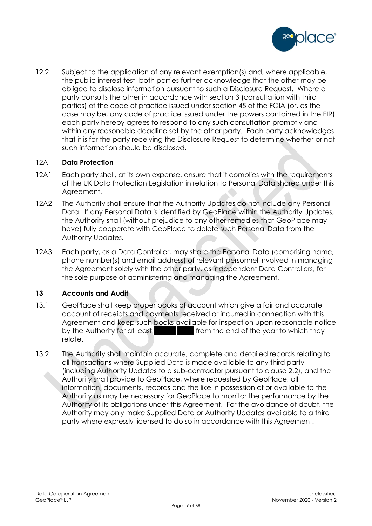

12.2 Subject to the application of any relevant exemption(s) and, where applicable, the public interest test, both parties further acknowledge that the other may be obliged to disclose information pursuant to such a Disclosure Request. Where a party consults the other in accordance with section 3 (consultation with third parties) of the code of practice issued under section 45 of the FOIA (or, as the case may be, any code of practice issued under the powers contained in the EIR) each party hereby agrees to respond to any such consultation promptly and within any reasonable deadline set by the other party. Each party acknowledges that it is for the party receiving the Disclosure Request to determine whether or not such information should be disclosed.

#### 12A **Data Protection**

- 12A1 Each party shall, at its own expense, ensure that it complies with the requirements of the UK Data Protection Legislation in relation to Personal Data shared under this Agreement.
- 12A2 The Authority shall ensure that the Authority Updates do not include any Personal Data. If any Personal Data is identified by GeoPlace within the Authority Updates, the Authority shall (without prejudice to any other remedies that GeoPlace may have) fully cooperate with GeoPlace to delete such Personal Data from the Authority Updates.
- 12A3 Each party, as a Data Controller, may share the Personal Data (comprising name, phone number(s) and email address) of relevant personnel involved in managing the Agreement solely with the other party, as independent Data Controllers, for the sole purpose of administering and managing the Agreement.

#### <span id="page-18-0"></span>**13 Accounts and Audit**

- 13.1 GeoPlace shall keep proper books of account which give a fair and accurate account of receipts and payments received or incurred in connection with this Agreement and keep such books available for inspection upon reasonable notice by the Authority for at least **xxx from the end of the year to which they** relate.
- 13.2 The Authority shall maintain accurate, complete and detailed records relating to all transactions where Supplied Data is made available to any third party (including Authority Updates to a sub-contractor pursuant to clause 2.2), and the Authority shall provide to GeoPlace, where requested by GeoPlace, all information, documents, records and the like in possession of or available to the Authority as may be necessary for GeoPlace to monitor the performance by the Authority of its obligations under this Agreement. For the avoidance of doubt, the Authority may only make Supplied Data or Authority Updates available to a third party where expressly licensed to do so in accordance with this Agreement.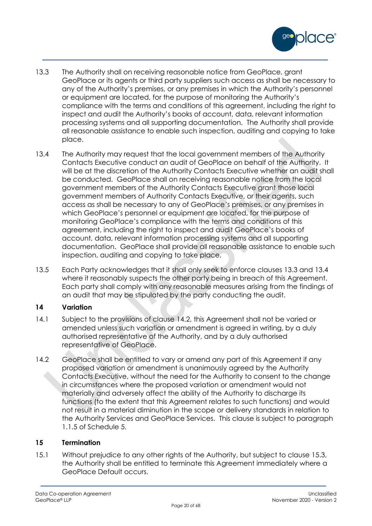

- 13.3 The Authority shall on receiving reasonable notice from GeoPlace, grant GeoPlace or its agents or third party suppliers such access as shall be necessary to any of the Authority's premises, or any premises in which the Authority's personnel or equipment are located, for the purpose of monitoring the Authority's compliance with the terms and conditions of this agreement, including the right to inspect and audit the Authority's books of account, data, relevant information processing systems and all supporting documentation. The Authority shall provide all reasonable assistance to enable such inspection, auditing and copying to take place.
- 13.4 The Authority may request that the local government members of the Authority Contacts Executive conduct an audit of GeoPlace on behalf of the Authority. It will be at the discretion of the Authority Contacts Executive whether an audit shall be conducted. GeoPlace shall on receiving reasonable notice from the local government members of the Authority Contacts Executive grant those local government members of Authority Contacts Executive, or their agents, such access as shall be necessary to any of GeoPlace's premises, or any premises in which GeoPlace's personnel or equipment are located, for the purpose of monitoring GeoPlace's compliance with the terms and conditions of this agreement, including the right to inspect and audit GeoPlace's books of account, data, relevant information processing systems and all supporting documentation. GeoPlace shall provide all reasonable assistance to enable such inspection, auditing and copying to take place.
- 13.5 Each Party acknowledges that it shall only seek to enforce clauses 13.3 and 13.4 where it reasonably suspects the other party being in breach of this Agreement. Each party shall comply with any reasonable measures arising from the findings of an audit that may be stipulated by the party conducting the audit.

#### <span id="page-19-0"></span>**14 Variation**

- 14.1 Subject to the provisions of clause 14.2, this Agreement shall not be varied or amended unless such variation or amendment is agreed in writing, by a duly authorised representative of the Authority, and by a duly authorised representative of GeoPlace.
- 14.2 GeoPlace shall be entitled to vary or amend any part of this Agreement if any proposed variation or amendment is unanimously agreed by the Authority Contacts Executive, without the need for the Authority to consent to the change in circumstances where the proposed variation or amendment would not materially and adversely affect the ability of the Authority to discharge its functions (to the extent that this Agreement relates to such functions) and would not result in a material diminution in the scope or delivery standards in relation to the Authority Services and GeoPlace Services. This clause is subject to paragraph 1.1.5 of Schedule 5.

#### <span id="page-19-1"></span>**15 Termination**

15.1 Without prejudice to any other rights of the Authority, but subject to clause 15.3, the Authority shall be entitled to terminate this Agreement immediately where a GeoPlace Default occurs.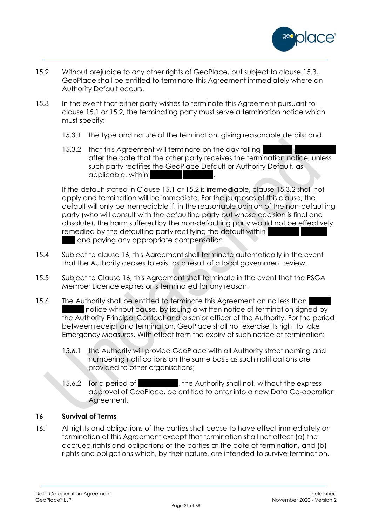

- 15.2 Without prejudice to any other rights of GeoPlace, but subject to clause 15.3, GeoPlace shall be entitled to terminate this Agreement immediately where an Authority Default occurs.
- 15.3 In the event that either party wishes to terminate this Agreement pursuant to clause 15.1 or 15.2, the terminating party must serve a termination notice which must specify;
	- 15.3.1 the type and nature of the termination, giving reasonable details; and
	- $15.3.2$  that this Agreement will terminate on the day falling after the date that the other party receives the termination notice, unless such party rectifies the GeoPlace Default or Authority Default, as applicable, within

If the default stated in Clause 15.1 or 15.2 is irremediable, clause 15.3.2 shall not apply and termination will be immediate. For the purposes of this clause, the default will only be irremediable if, in the reasonable opinion of the non-defaulting party (who will consult with the defaulting party but whose decision is final and absolute), the harm suffered by the non-defaulting party would not be effectively remedied by the defaulting party rectifying the default within and paying any appropriate compensation.

- 15.4 Subject to clause 16, this Agreement shall terminate automatically in the event that the Authority ceases to exist as a result of a local government review.
- 15.5 Subject to Clause 16, this Agreement shall terminate in the event that the PSGA Member Licence expires or is terminated for any reason.
- 15.6 The Authority shall be entitled to terminate this Agreement on no less than notice without cause, by issuing a written notice of termination signed by the Authority Principal Contact and a senior officer of the Authority. For the period between receipt and termination, GeoPlace shall not exercise its right to take Emergency Measures. With effect from the expiry of such notice of termination:
	- 15.6.1 the Authority will provide GeoPlace with all Authority street naming and numbering notifications on the same basis as such notifications are provided to other organisations;
	- 15.6.2 for a period of xxx xxx xxxxx, the Authority shall not, without the express approval of GeoPlace, be entitled to enter into a new Data Co-operation Agreement.

#### <span id="page-20-0"></span>**16 Survival of Terms**

16.1 All rights and obligations of the parties shall cease to have effect immediately on termination of this Agreement except that termination shall not affect (a) the accrued rights and obligations of the parties at the date of termination, and (b) rights and obligations which, by their nature, are intended to survive termination.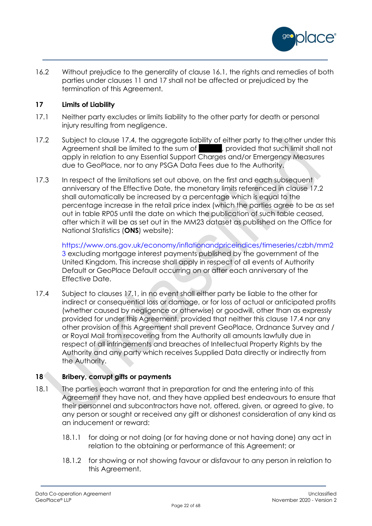

16.2 Without prejudice to the generality of clause 16.1, the rights and remedies of both parties under clauses 11 and 17 shall not be affected or prejudiced by the termination of this Agreement.

#### <span id="page-21-0"></span>**17 Limits of Liability**

- 17.1 Neither party excludes or limits liability to the other party for death or personal injury resulting from negligence.
- 17.2 Subject to clause 17.4, the aggregate liability of either party to the other under this Agreement shall be limited to the sum of xxx, provided that such limit shall not apply in relation to any Essential Support Charges and/or Emergency Measures due to GeoPlace, nor to any PSGA Data Fees due to the Authority.
- 17.3 In respect of the limitations set out above, on the first and each subsequent anniversary of the Effective Date, the monetary limits referenced in clause 17.2 shall automatically be increased by a percentage which is equal to the percentage increase in the retail price index (which the parties agree to be as set out in table RP05 until the date on which the publication of such table ceased, after which it will be as set out in the MM23 dataset as published on the Office for National Statistics (**ONS**) website):

[https://www.ons.gov.uk/economy/inflationandpriceindices/timeseries/czbh/mm2](https://www.ons.gov.uk/economy/inflationandpriceindices/timeseries/czbh/mm23) [3](https://www.ons.gov.uk/economy/inflationandpriceindices/timeseries/czbh/mm23) excluding mortgage interest payments published by the government of the United Kingdom. This increase shall apply in respect of all events of Authority Default or GeoPlace Default occurring on or after each anniversary of the Effective Date.

17.4 Subject to clauses 17.1, in no event shall either party be liable to the other for indirect or consequential loss or damage, or for loss of actual or anticipated profits (whether caused by negligence or otherwise) or goodwill, other than as expressly provided for under this Agreement, provided that neither this clause 17.4 nor any other provision of this Agreement shall prevent GeoPlace, Ordnance Survey and / or Royal Mail from recovering from the Authority all amounts lawfully due in respect of all infringements and breaches of Intellectual Property Rights by the Authority and any party which receives Supplied Data directly or indirectly from the Authority.

#### <span id="page-21-1"></span>**18 Bribery, corrupt gifts or payments**

- 18.1 The parties each warrant that in preparation for and the entering into of this Agreement they have not, and they have applied best endeavours to ensure that their personnel and subcontractors have not, offered, given, or agreed to give, to any person or sought or received any gift or dishonest consideration of any kind as an inducement or reward:
	- 18.1.1 for doing or not doing (or for having done or not having done) any act in relation to the obtaining or performance of this Agreement; or
	- 18.1.2 for showing or not showing favour or disfavour to any person in relation to this Agreement.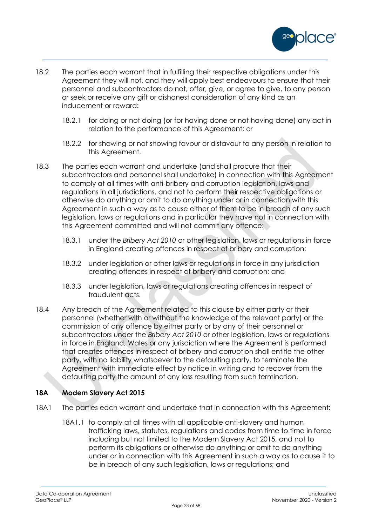

- 18.2 The parties each warrant that in fulfilling their respective obligations under this Agreement they will not, and they will apply best endeavours to ensure that their personnel and subcontractors do not, offer, give, or agree to give, to any person or seek or receive any gift or dishonest consideration of any kind as an inducement or reward:
	- 18.2.1 for doing or not doing (or for having done or not having done) any act in relation to the performance of this Agreement; or
	- 18.2.2 for showing or not showing favour or disfavour to any person in relation to this Agreement.
- 18.3 The parties each warrant and undertake (and shall procure that their subcontractors and personnel shall undertake) in connection with this Agreement to comply at all times with anti-bribery and corruption legislation, laws and regulations in all jurisdictions, and not to perform their respective obligations or otherwise do anything or omit to do anything under or in connection with this Agreement in such a way as to cause either of them to be in breach of any such legislation, laws or regulations and in particular they have not in connection with this Agreement committed and will not commit any offence:
	- 18.3.1 under the *Bribery Act 2010* or other legislation, laws or regulations in force in England creating offences in respect of bribery and corruption;
	- 18.3.2 under legislation or other laws or regulations in force in any jurisdiction creating offences in respect of bribery and corruption; and
	- 18.3.3 under legislation, laws or regulations creating offences in respect of fraudulent acts.
- 18.4 Any breach of the Agreement related to this clause by either party or their personnel (whether with or without the knowledge of the relevant party) or the commission of any offence by either party or by any of their personnel or subcontractors under the *Bribery Act 2010* or other legislation, laws or regulations in force in England, Wales or any jurisdiction where the Agreement is performed that creates offences in respect of bribery and corruption shall entitle the other party, with no liability whatsoever to the defaulting party, to terminate the Agreement with immediate effect by notice in writing and to recover from the defaulting party the amount of any loss resulting from such termination.

#### <span id="page-22-0"></span>**18A Modern Slavery Act 2015**

- 18A1 The parties each warrant and undertake that in connection with this Agreement:
	- 18A1.1 to comply at all times with all applicable anti-slavery and human trafficking laws, statutes, regulations and codes from time to time in force including but not limited to the Modern Slavery Act 2015, and not to perform its obligations or otherwise do anything or omit to do anything under or in connection with this Agreement in such a way as to cause it to be in breach of any such legislation, laws or regulations; and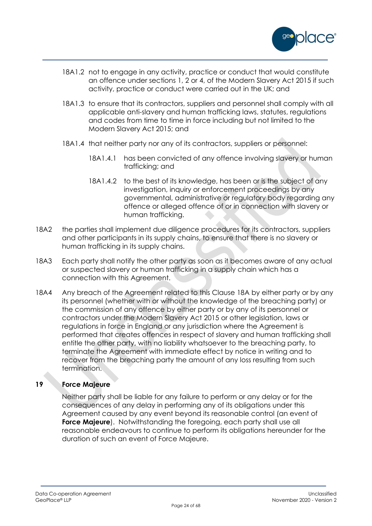

- 18A1.2 not to engage in any activity, practice or conduct that would constitute an offence under sections 1, 2 or 4, of the Modern Slavery Act 2015 if such activity, practice or conduct were carried out in the UK; and
- 18A1.3 to ensure that its contractors, suppliers and personnel shall comply with all applicable anti-slavery and human trafficking laws, statutes, regulations and codes from time to time in force including but not limited to the Modern Slavery Act 2015; and
- 18A1.4 that neither party nor any of its contractors, suppliers or personnel:
	- 18A1.4.1 has been convicted of any offence involving slavery or human trafficking; and
	- 18A1.4.2 to the best of its knowledge, has been or is the subject of any investigation, inquiry or enforcement proceedings by any governmental, administrative or regulatory body regarding any offence or alleged offence of or in connection with slavery or human trafficking.
- 18A2 the parties shall implement due diligence procedures for its contractors, suppliers and other participants in its supply chains, to ensure that there is no slavery or human trafficking in its supply chains.
- 18A3 Each party shall notify the other party as soon as it becomes aware of any actual or suspected slavery or human trafficking in a supply chain which has a connection with this Agreement.
- 18A4 Any breach of the Agreement related to this Clause 18A by either party or by any its personnel (whether with or without the knowledge of the breaching party) or the commission of any offence by either party or by any of its personnel or contractors under the Modern Slavery Act 2015 or other legislation, laws or regulations in force in England or any jurisdiction where the Agreement is performed that creates offences in respect of slavery and human trafficking shall entitle the other party, with no liability whatsoever to the breaching party, to terminate the Agreement with immediate effect by notice in writing and to recover from the breaching party the amount of any loss resulting from such termination.

#### <span id="page-23-0"></span>**19 Force Majeure**

Neither party shall be liable for any failure to perform or any delay or for the consequences of any delay in performing any of its obligations under this Agreement caused by any event beyond its reasonable control (an event of **Force Majeure**). Notwithstanding the foregoing, each party shall use all reasonable endeavours to continue to perform its obligations hereunder for the duration of such an event of Force Majeure.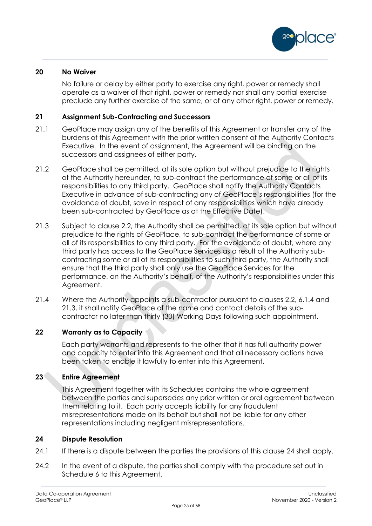

#### <span id="page-24-0"></span>**20 No Waiver**

No failure or delay by either party to exercise any right, power or remedy shall operate as a waiver of that right, power or remedy nor shall any partial exercise preclude any further exercise of the same, or of any other right, power or remedy.

#### <span id="page-24-1"></span>**21 Assignment Sub-Contracting and Successors**

- 21.1 GeoPlace may assign any of the benefits of this Agreement or transfer any of the burdens of this Agreement with the prior written consent of the Authority Contacts Executive. In the event of assignment, the Agreement will be binding on the successors and assignees of either party.
- 21.2 GeoPlace shall be permitted, at its sole option but without prejudice to the rights of the Authority hereunder, to sub-contract the performance of some or all of its responsibilities to any third party. GeoPlace shall notify the Authority Contacts Executive in advance of sub-contracting any of GeoPlace's responsibilities (for the avoidance of doubt, save in respect of any responsibilities which have already been sub-contracted by GeoPlace as at the Effective Date).
- 21.3 Subject to clause 2.2, the Authority shall be permitted, at its sole option but without prejudice to the rights of GeoPlace, to sub-contract the performance of some or all of its responsibilities to any third party. For the avoidance of doubt, where any third party has access to the GeoPlace Services as a result of the Authority subcontracting some or all of its responsibilities to such third party, the Authority shall ensure that the third party shall only use the GeoPlace Services for the performance, on the Authority's behalf, of the Authority's responsibilities under this Agreement.
- 21.4 Where the Authority appoints a sub-contractor pursuant to clauses 2.2, 6.1.4 and 21.3, it shall notify GeoPlace of the name and contact details of the subcontractor no later than thirty (30) Working Days following such appointment.

#### <span id="page-24-2"></span>**22 Warranty as to Capacity**

Each party warrants and represents to the other that it has full authority power and capacity to enter into this Agreement and that all necessary actions have been taken to enable it lawfully to enter into this Agreement.

#### <span id="page-24-3"></span>**23 Entire Agreement**

This Agreement together with its Schedules contains the whole agreement between the parties and supersedes any prior written or oral agreement between them relating to it. Each party accepts liability for any fraudulent misrepresentations made on its behalf but shall not be liable for any other representations including negligent misrepresentations.

#### <span id="page-24-4"></span>**24 Dispute Resolution**

- 24.1 If there is a dispute between the parties the provisions of this clause 24 shall apply.
- 24.2 In the event of a dispute, the parties shall comply with the procedure set out in Schedule 6 to this Agreement.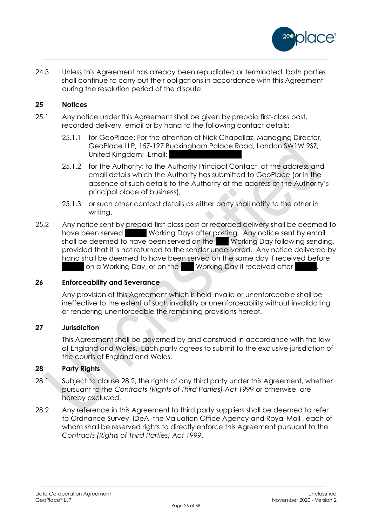

24.3 Unless this Agreement has already been repudiated or terminated, both parties shall continue to carry out their obligations in accordance with this Agreement during the resolution period of the dispute.

#### <span id="page-25-0"></span>**25 Notices**

- 25.1 Any notice under this Agreement shall be given by prepaid first-class post, recorded delivery, email or by hand to the following contact details:
	- 25.1.1 for GeoPlace: For the attention of Nick Chapallaz, Managing Director, GeoPlace LLP, 157-197 Buckingham Palace Road, London SW1W 9SZ, United Kingdom; Email:
	- 25.1.2 for the Authority: to the Authority Principal Contact, at the address and email details which the Authority has submitted to GeoPlace (or in the absence of such details to the Authority at the address of the Authority's principal place of business),
	- 25.1.3 or such other contact details as either party shall notify to the other in writing.
- 25.2 Any notice sent by prepaid first-class post or recorded delivery shall be deemed to have been served **XX** Working Days after posting. Any notice sent by email shall be deemed to have been served on the **xxx Working Day following sending**, provided that it is not returned to the sender undelivered. Any notice delivered by hand shall be deemed to have been served on the same day if received before on a Working Day, or on the **Working Day if received after**

#### <span id="page-25-1"></span>**26 Enforceability and Severance**

Any provision of this Agreement which is held invalid or unenforceable shall be ineffective to the extent of such invalidity or unenforceability without invalidating or rendering unenforceable the remaining provisions hereof.

#### <span id="page-25-2"></span>**27 Jurisdiction**

This Agreement shall be governed by and construed in accordance with the law of England and Wales. Each party agrees to submit to the exclusive jurisdiction of the courts of England and Wales.

#### <span id="page-25-3"></span>**28 Party Rights**

- 28.1 Subject to clause 28.2, the rights of any third party under this Agreement, whether pursuant to the *Contracts (Rights of Third Parties) Act 1999* or otherwise, are hereby excluded.
- 28.2 Any reference in this Agreement to third party suppliers shall be deemed to refer to Ordnance Survey, IDeA, the Valuation Office Agency and Royal Mail , each of whom shall be reserved rights to directly enforce this Agreement pursuant to the *Contracts (Rights of Third Parties) Act 1999*.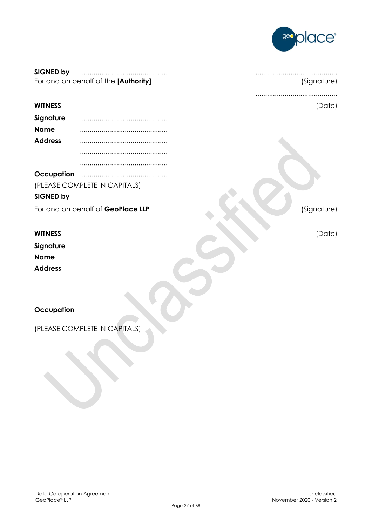

| SIGNED by        |                                      |             |
|------------------|--------------------------------------|-------------|
|                  | For and on behalf of the [Authority] | (Signature) |
|                  |                                      | .           |
| <b>WITNESS</b>   |                                      | (Date)      |
| Signature        |                                      |             |
| <b>Name</b>      |                                      |             |
| <b>Address</b>   |                                      |             |
|                  |                                      |             |
|                  |                                      |             |
|                  |                                      |             |
|                  | (PLEASE COMPLETE IN CAPITALS)        |             |
| <b>SIGNED by</b> |                                      |             |
|                  | For and on behalf of GeoPlace LLP    | (Signature) |
| <b>WITNESS</b>   |                                      | (Date)      |
| Signature        |                                      |             |
| <b>Name</b>      |                                      |             |
| <b>Address</b>   |                                      |             |
|                  |                                      |             |
| Occupation       |                                      |             |
|                  | (PLEASE COMPLETE IN CAPITALS)        |             |
|                  |                                      |             |
|                  |                                      |             |
|                  |                                      |             |
|                  |                                      |             |
|                  |                                      |             |
|                  |                                      |             |
|                  |                                      |             |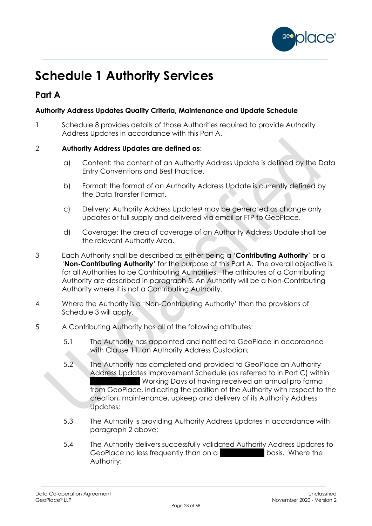

## <span id="page-27-0"></span>**Schedule 1 Authority Services**

### **Part A**

#### **Authority Address Updates Quality Criteria, Maintenance and Update Schedule**

1 Schedule 8 provides details of those Authorities required to provide Authority Address Updates in accordance with this Part A.

#### 2 **Authority Address Updates are defined as**:

- a) Content: the content of an Authority Address Update is defined by the Data Entry Conventions and Best Practice.
- b) Format: the format of an Authority Address Update is currently defined by the Data Transfer Format.
- c) Delivery: Authority Address Updates**<sup>2</sup>** may be generated as change only updates or full supply and delivered via email or FTP to GeoPlace.
- d) Coverage: the area of coverage of an Authority Address Update shall be the relevant Authority Area.
- 3 Each Authority shall be described as either being a '**Contributing Authority**' or a '**Non-Contributing Authority**' for the purpose of this Part A. The overall objective is for all Authorities to be Contributing Authorities. The attributes of a Contributing Authority are described in paragraph 5. An Authority will be a Non-Contributing Authority where it is not a Contributing Authority.
- 4 Where the Authority is a 'Non-Contributing Authority' then the provisions of Schedule 3 will apply.
- 5 A Contributing Authority has all of the following attributes:
	- 5.1 The Authority has appointed and notified to GeoPlace in accordance with Clause 11, an Authority Address Custodian;
	- 5.2 The Authority has completed and provided to GeoPlace an Authority Address Updates Improvement Schedule (as referred to in Part C) within Working Days of having received an annual pro forma from GeoPlace, indicating the position of the Authority with respect to the creation, maintenance, upkeep and delivery of its Authority Address Updates;
	- 5.3 The Authority is providing Authority Address Updates in accordance with paragraph 2 above;
	- 5.4 The Authority delivers successfully validated Authority Address Updates to GeoPlace no less frequently than on a xxx basis. Where the Authority: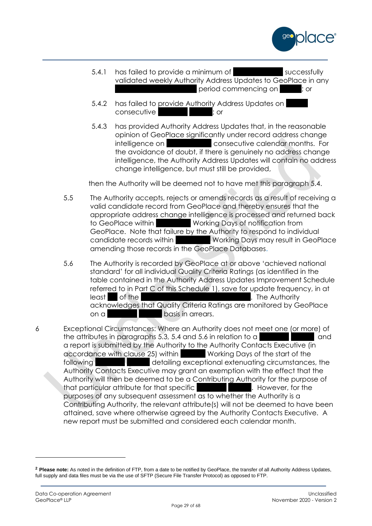

- 5.4.1 has failed to provide a minimum of successfully validated weekly Authority Address Updates to GeoPlace in any period commencing on  $\overline{\phantom{a}}$  ; or
- 5.4.2 has failed to provide Authority Address Updates on consecutive xxxxxxxxx xxxxxxx; or
- 5.4.3 has provided Authority Address Updates that, in the reasonable opinion of GeoPlace significantly under record address change intelligence on xxx consecutive calendar months. For the avoidance of doubt, if there is genuinely no address change intelligence, the Authority Address Updates will contain no address change intelligence, but must still be provided,

then the Authority will be deemed not to have met this paragraph 5.4.

- 5.5 The Authority accepts, rejects or amends records as a result of receiving a valid candidate record from GeoPlace and thereby ensures that the appropriate address change intelligence is processed and returned back to GeoPlace within **XXXX Working Days of notification from** GeoPlace. Note that failure by the Authority to respond to individual candidate records within XXX Working Days may result in GeoPlace amending those records in the GeoPlace Databases.
- 5.6 The Authority is recorded by GeoPlace at or above 'achieved national standard' for all individual Quality Criteria Ratings (as identified in the table contained in the Authority Address Updates Improvement Schedule referred to in Part C of this Schedule 1), save for update frequency, in at least xxx of the xxxxx xxx xxxxxxxxx xxxxxxxx xxxxxx. The Authority acknowledges that Quality Criteria Ratings are monitored by GeoPlace on a xxxxxxxxx xxxxxxx basis in arrears.
- 6 Exceptional Circumstances: Where an Authority does not meet one (or more) of the attributes in paragraphs 5.3, 5.4 and 5.6 in relation to a  $\sim$  xxx and a report is submitted by the Authority to the Authority Contacts Executive (in accordance with clause 25) within Working Days of the start of the following detailing exceptional extenuating circumstances, the Authority Contacts Executive may grant an exemption with the effect that the Authority will then be deemed to be a Contributing Authority for the purpose of that particular attribute for that specific xxxxxxxxx xxxxxxx. However, for the purposes of any subsequent assessment as to whether the Authority is a Contributing Authority, the relevant attribute(s) will not be deemed to have been attained, save where otherwise agreed by the Authority Contacts Executive. A new report must be submitted and considered each calendar month.

**<sup>2</sup> Please note:** As noted in the definition of FTP, from a date to be notified by GeoPlace, the transfer of all Authority Address Updates, full supply and data files must be via the use of SFTP (Secure File Transfer Protocol) as opposed to FTP.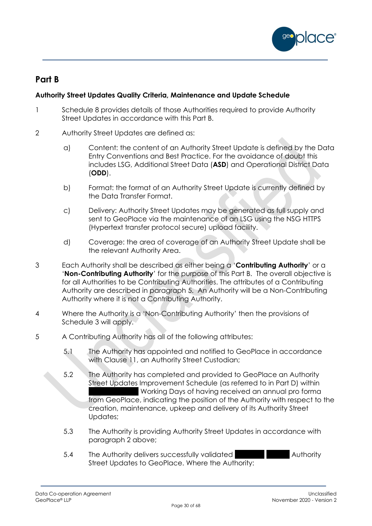

### **Part B**

#### **Authority Street Updates Quality Criteria, Maintenance and Update Schedule**

- 1 Schedule 8 provides details of those Authorities required to provide Authority Street Updates in accordance with this Part B.
- 2 Authority Street Updates are defined as:
	- a) Content: the content of an Authority Street Update is defined by the Data Entry Conventions and Best Practice. For the avoidance of doubt this includes LSG, Additional Street Data (**ASD**) and Operational District Data (**ODD**).
	- b) Format: the format of an Authority Street Update is currently defined by the Data Transfer Format.
	- c) Delivery: Authority Street Updates may be generated as full supply and sent to GeoPlace via the maintenance of an LSG using the NSG HTTPS (Hypertext transfer protocol secure) upload facility.
	- d) Coverage: the area of coverage of an Authority Street Update shall be the relevant Authority Area.
- 3 Each Authority shall be described as either being a '**Contributing Authority**' or a '**Non-Contributing Authority**' for the purpose of this Part B. The overall objective is for all Authorities to be Contributing Authorities. The attributes of a Contributing Authority are described in paragraph 5. An Authority will be a Non-Contributing Authority where it is not a Contributing Authority.
- 4 Where the Authority is a 'Non-Contributing Authority' then the provisions of Schedule 3 will apply.
- 5 A Contributing Authority has all of the following attributes:
	- 5.1 The Authority has appointed and notified to GeoPlace in accordance with Clause 11, an Authority Street Custodian;
	- 5.2 The Authority has completed and provided to GeoPlace an Authority Street Updates Improvement Schedule (as referred to in Part D) within Working Days of having received an annual pro forma from GeoPlace, indicating the position of the Authority with respect to the creation, maintenance, upkeep and delivery of its Authority Street Updates;
	- 5.3 The Authority is providing Authority Street Updates in accordance with paragraph 2 above;
	- 5.4 The Authority delivers successfully validated xxx and xxx Authority Street Updates to GeoPlace. Where the Authority: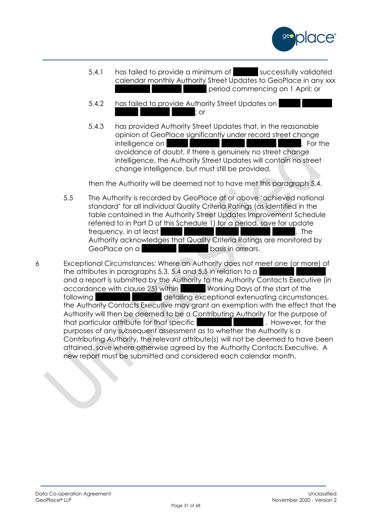

- 5.4.1 has failed to provide a minimum of successfully validated calendar monthly Authority Street Updates to GeoPlace in any xxx xxxxxx xxxx xxxxxxxxx xxxxxxx period commencing on 1 April; or
- 5.4.2 has failed to provide Authority Street Updates on  $:$  or
- 5.4.3 has provided Authority Street Updates that, in the reasonable opinion of GeoPlace significantly under record street change  $intelligence on$   $\Box$ avoidance of doubt, if there is genuinely no street change intelligence, the Authority Street Updates will contain no street change intelligence, but must still be provided,

then the Authority will be deemed not to have met this paragraph 5.4.

- 5.5 The Authority is recorded by GeoPlace at or above 'achieved national standard' for all individual Quality Criteria Ratings (as identified in the table contained in the Authority Street Updates Improvement Schedule referred to in Part D of this Schedule 1) for a period, save for update frequency, in at least xxx xxx xxxxxxxxx xxxxxxx xxxxxxxxx xxxxxxx. The Authority acknowledges that Quality Criteria Ratings are monitored by GeoPlace on a xxx xxx xxx basis in arrears.
- 6 Exceptional Circumstances: Where an Authority does not meet one (or more) of the attributes in paragraphs 5.3, 5.4 and 5.5 in relation to a and a report is submitted by the Authority to the Authority Contacts Executive (in accordance with clause 25) within **Working Days of the start of the** following **xxx** and the state of detailing exceptional extenuating circumstances, the Authority Contacts Executive may grant an exemption with the effect that the Authority will then be deemed to be a Contributing Authority for the purpose of that particular attribute for that specific  $\qquad \qquad$  . However, for the purposes of any subsequent assessment as to whether the Authority is a Contributing Authority, the relevant attribute(s) will not be deemed to have been attained, save where otherwise agreed by the Authority Contacts Executive. A new report must be submitted and considered each calendar month.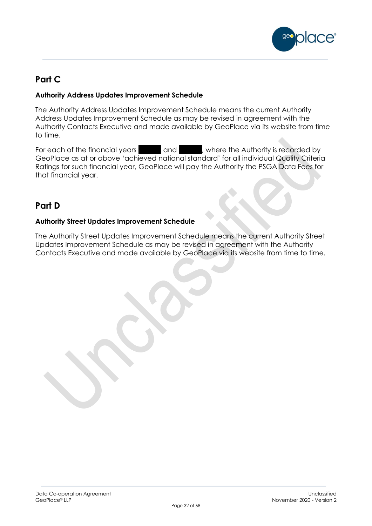

### **Part C**

#### **Authority Address Updates Improvement Schedule**

The Authority Address Updates Improvement Schedule means the current Authority Address Updates Improvement Schedule as may be revised in agreement with the Authority Contacts Executive and made available by GeoPlace via its website from time to time.

For each of the financial years and xxxx and xxx where the Authority is recorded by GeoPlace as at or above 'achieved national standard' for all individual Quality Criteria Ratings for such financial year, GeoPlace will pay the Authority the PSGA Data Fees for that financial year.

### **Part D**

#### **Authority Street Updates Improvement Schedule**

The Authority Street Updates Improvement Schedule means the current Authority Street Updates Improvement Schedule as may be revised in agreement with the Authority Contacts Executive and made available by GeoPlace via its website from time to time.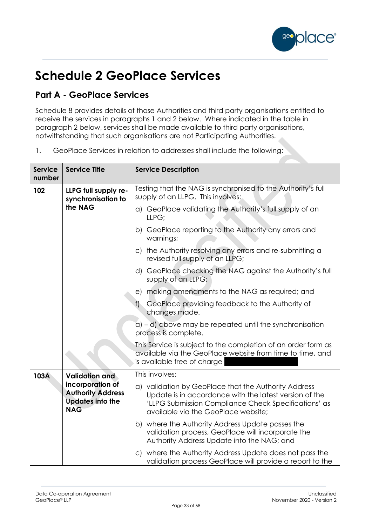

## <span id="page-32-0"></span>**Schedule 2 GeoPlace Services**

### **Part A - GeoPlace Services**

Schedule 8 provides details of those Authorities and third party organisations entitled to receive the services in paragraphs 1 and 2 below. Where indicated in the table in paragraph 2 below, services shall be made available to third party organisations, notwithstanding that such organisations are not Participating Authorities.

1. GeoPlace Services in relation to addresses shall include the following:

| <b>Service</b><br>number | <b>Service Title</b>                                                                  | <b>Service Description</b>                                                                                                                                                                                    |
|--------------------------|---------------------------------------------------------------------------------------|---------------------------------------------------------------------------------------------------------------------------------------------------------------------------------------------------------------|
| 102                      | LLPG full supply re-<br>synchronisation to<br>the NAG                                 | Testing that the NAG is synchronised to the Authority's full<br>supply of an LLPG. This involves:                                                                                                             |
|                          |                                                                                       | a) GeoPlace validating the Authority's full supply of an<br>LLPG;                                                                                                                                             |
|                          |                                                                                       | b) GeoPlace reporting to the Authority any errors and<br>warnings;                                                                                                                                            |
|                          |                                                                                       | c) the Authority resolving any errors and re-submitting a<br>revised full supply of an LLPG;                                                                                                                  |
|                          |                                                                                       | d) GeoPlace checking the NAG against the Authority's full<br>supply of an LLPG;                                                                                                                               |
|                          |                                                                                       | e) making amendments to the NAG as required; and                                                                                                                                                              |
|                          |                                                                                       | GeoPlace providing feedback to the Authority of<br>f<br>changes made.                                                                                                                                         |
|                          |                                                                                       | a) – d) above may be repeated until the synchronisation<br>process is complete.                                                                                                                               |
|                          |                                                                                       | This Service is subject to the completion of an order form as<br>available via the GeoPlace website from time to time, and<br>is available free of charge                                                     |
| 103A                     | <b>Validation and</b>                                                                 | This involves:                                                                                                                                                                                                |
|                          | incorporation of<br><b>Authority Address</b><br><b>Updates into the</b><br><b>NAG</b> | a) validation by GeoPlace that the Authority Address<br>Update is in accordance with the latest version of the<br>'LLPG Submission Compliance Check Specifications' as<br>available via the GeoPlace website; |
|                          |                                                                                       | b) where the Authority Address Update passes the<br>validation process, GeoPlace will incorporate the<br>Authority Address Update into the NAG; and                                                           |
|                          |                                                                                       | c) where the Authority Address Update does not pass the<br>validation process GeoPlace will provide a report to the                                                                                           |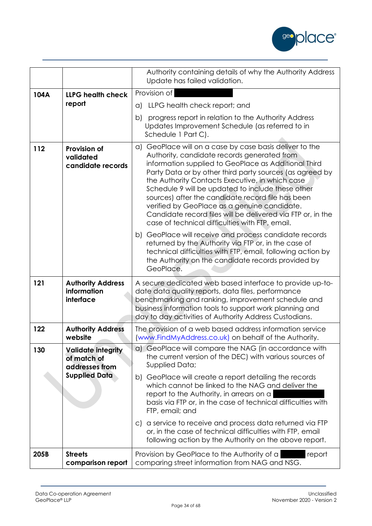

|      |                                                                                    | Authority containing details of why the Authority Address<br>Update has failed validation.                                                                                                                                                                                                                                                                                                                                                                                                                                                                |
|------|------------------------------------------------------------------------------------|-----------------------------------------------------------------------------------------------------------------------------------------------------------------------------------------------------------------------------------------------------------------------------------------------------------------------------------------------------------------------------------------------------------------------------------------------------------------------------------------------------------------------------------------------------------|
| 104A | <b>LLPG health check</b>                                                           | Provision of                                                                                                                                                                                                                                                                                                                                                                                                                                                                                                                                              |
|      | report                                                                             | LLPG health check report; and<br>$\alpha$                                                                                                                                                                                                                                                                                                                                                                                                                                                                                                                 |
|      |                                                                                    | progress report in relation to the Authority Address<br>b)<br>Updates Improvement Schedule (as referred to in<br>Schedule 1 Part C).                                                                                                                                                                                                                                                                                                                                                                                                                      |
| 112  | <b>Provision of</b><br>validated<br>candidate records                              | a) GeoPlace will on a case by case basis deliver to the<br>Authority, candidate records generated from<br>information supplied to GeoPlace as Additional Third<br>Party Data or by other third party sources (as agreed by<br>the Authority Contacts Executive, in which case<br>Schedule 9 will be updated to include these other<br>sources) after the candidate record file has been<br>verified by GeoPlace as a genuine candidate.<br>Candidate record files will be delivered via FTP or, in the<br>case of technical difficulties with FTP, email. |
|      |                                                                                    | b) GeoPlace will receive and process candidate records<br>returned by the Authority via FTP or, in the case of<br>technical difficulties with FTP, email, following action by<br>the Authority on the candidate records provided by<br>GeoPlace.                                                                                                                                                                                                                                                                                                          |
| 121  | <b>Authority Address</b><br>information<br>interface                               | A secure dedicated web based interface to provide up-to-<br>date data quality reports, data files, performance<br>benchmarking and ranking, improvement schedule and<br>business information tools to support work planning and<br>day to day activities of Authority Address Custodians.                                                                                                                                                                                                                                                                 |
| 122  | <b>Authority Address</b><br>website                                                | The provision of a web based address information service<br>(www.FindMyAddress.co.uk) on behalf of the Authority.                                                                                                                                                                                                                                                                                                                                                                                                                                         |
| 130  | <b>Validate integrity</b><br>of match of<br>addresses from<br><b>Supplied Data</b> | a) GeoPlace will compare the NAG (in accordance with<br>the current version of the DEC) with various sources of<br><b>Supplied Data;</b>                                                                                                                                                                                                                                                                                                                                                                                                                  |
|      |                                                                                    | b) GeoPlace will create a report detailing the records<br>which cannot be linked to the NAG and deliver the<br>report to the Authority, in arrears on a<br>basis via FTP or, in the case of technical difficulties with<br>FTP, email; and                                                                                                                                                                                                                                                                                                                |
|      |                                                                                    | c) a service to receive and process data returned via FTP<br>or, in the case of technical difficulties with FTP, email<br>following action by the Authority on the above report.                                                                                                                                                                                                                                                                                                                                                                          |
| 205B | <b>Streets</b><br>comparison report                                                | Provision by GeoPlace to the Authority of a<br>report<br>comparing street information from NAG and NSG.                                                                                                                                                                                                                                                                                                                                                                                                                                                   |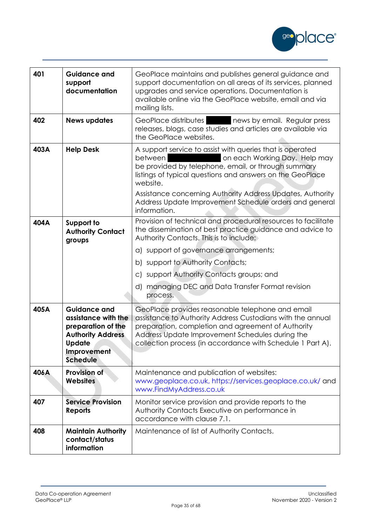

| 401  | <b>Guidance and</b><br>support<br>documentation                                                                                          | GeoPlace maintains and publishes general guidance and<br>support documentation on all areas of its services, planned<br>upgrades and service operations. Documentation is<br>available online via the GeoPlace website, email and via<br>mailing lists.                                                                                                       |
|------|------------------------------------------------------------------------------------------------------------------------------------------|---------------------------------------------------------------------------------------------------------------------------------------------------------------------------------------------------------------------------------------------------------------------------------------------------------------------------------------------------------------|
| 402  | <b>News updates</b>                                                                                                                      | news by email. Regular press<br>GeoPlace distributes<br>releases, blogs, case studies and articles are available via<br>the GeoPlace websites.                                                                                                                                                                                                                |
| 403A | <b>Help Desk</b>                                                                                                                         | A support service to assist with queries that is operated<br>between<br>on each Working Day. Help may<br>be provided by telephone, email, or through summary<br>listings of typical questions and answers on the GeoPlace<br>website.<br>Assistance concerning Authority Address Updates, Authority<br>Address Update Improvement Schedule orders and general |
|      |                                                                                                                                          | information.                                                                                                                                                                                                                                                                                                                                                  |
| 404A | Support to<br><b>Authority Contact</b><br>groups                                                                                         | Provision of technical and procedural resources to facilitate<br>the dissemination of best practice guidance and advice to<br>Authority Contacts. This is to include:                                                                                                                                                                                         |
|      |                                                                                                                                          | a) support of governance arrangements;                                                                                                                                                                                                                                                                                                                        |
|      |                                                                                                                                          | b) support to Authority Contacts;                                                                                                                                                                                                                                                                                                                             |
|      |                                                                                                                                          | c) support Authority Contacts groups; and                                                                                                                                                                                                                                                                                                                     |
|      |                                                                                                                                          | managing DEC and Data Transfer Format revision<br>d)<br>process.                                                                                                                                                                                                                                                                                              |
| 405A | <b>Guidance and</b><br>assistance with the<br>preparation of the<br><b>Authority Address</b><br>Update<br>Improvement<br><b>Schedule</b> | GeoPlace provides reasonable telephone and email<br>assistance to Authority Address Custodians with the annual<br>preparation, completion and agreement of Authority<br>Address Update Improvement Schedules during the<br>collection process (in accordance with Schedule 1 Part A).                                                                         |
| 406A | <b>Provision of</b><br><b>Websites</b>                                                                                                   | Maintenance and publication of websites:<br>www.geoplace.co.uk, https://services.geoplace.co.uk/ and<br>www.FindMyAddress.co.uk                                                                                                                                                                                                                               |
| 407  | <b>Service Provision</b><br><b>Reports</b>                                                                                               | Monitor service provision and provide reports to the<br>Authority Contacts Executive on performance in<br>accordance with clause 7.1.                                                                                                                                                                                                                         |
| 408  | <b>Maintain Authority</b><br>contact/status<br>information                                                                               | Maintenance of list of Authority Contacts.                                                                                                                                                                                                                                                                                                                    |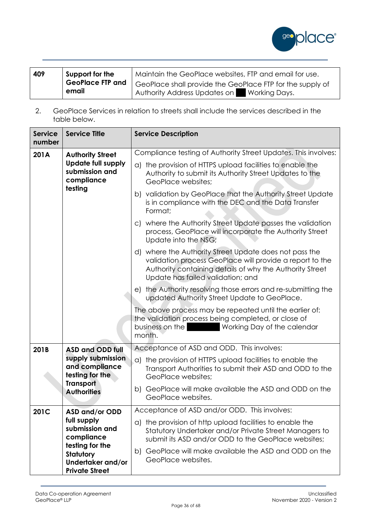

| 409 | Support for the                  | Maintain the GeoPlace websites, FTP and email for use.                                                  |
|-----|----------------------------------|---------------------------------------------------------------------------------------------------------|
|     | <b>GeoPlace FTP and</b><br>email | GeoPlace shall provide the GeoPlace FTP for the supply of<br>Authority Address Updates on Working Days. |

2. GeoPlace Services in relation to streets shall include the services described in the table below.

| <b>Service</b><br>number | <b>Service Title</b>                                                       | <b>Service Description</b>                                                                                                                                                                                          |
|--------------------------|----------------------------------------------------------------------------|---------------------------------------------------------------------------------------------------------------------------------------------------------------------------------------------------------------------|
| 201A                     | <b>Authority Street</b>                                                    | Compliance testing of Authority Street Updates. This involves:                                                                                                                                                      |
|                          | <b>Update full supply</b><br>submission and<br>compliance                  | a) the provision of HTTPS upload facilities to enable the<br>Authority to submit its Authority Street Updates to the<br>GeoPlace websites;                                                                          |
|                          | testing                                                                    | validation by GeoPlace that the Authority Street Update<br>b)<br>is in compliance with the DEC and the Data Transfer<br>Format;                                                                                     |
|                          |                                                                            | c) where the Authority Street Update passes the validation<br>process, GeoPlace will incorporate the Authority Street<br>Update into the NSG;                                                                       |
|                          |                                                                            | d) where the Authority Street Update does not pass the<br>validation process GeoPlace will provide a report to the<br>Authority containing details of why the Authority Street<br>Update has failed validation; and |
|                          |                                                                            | the Authority resolving those errors and re-submitting the<br>e)<br>updated Authority Street Update to GeoPlace.                                                                                                    |
|                          |                                                                            | The above process may be repeated until the earlier of:<br>the validation process being completed, or close of<br>business on the<br>Working Day of the calendar<br>month.                                          |
| 201B                     | <b>ASD and ODD full</b>                                                    | Acceptance of ASD and ODD. This involves:                                                                                                                                                                           |
|                          | supply submission<br>and compliance<br>testing for the                     | the provision of HTTPS upload facilities to enable the<br>$\alpha$<br>Transport Authorities to submit their ASD and ODD to the<br>GeoPlace websites;                                                                |
|                          | <b>Transport</b><br><b>Authorities</b>                                     | GeoPlace will make available the ASD and ODD on the<br>b)<br>GeoPlace websites.                                                                                                                                     |
| 201C                     | ASD and/or ODD                                                             | Acceptance of ASD and/or ODD. This involves:                                                                                                                                                                        |
|                          | full supply<br>submission and<br>compliance                                | a) the provision of http upload facilities to enable the<br>Statutory Undertaker and/or Private Street Managers to<br>submit its ASD and/or ODD to the GeoPlace websites;                                           |
|                          | testing for the<br>Statutory<br>Undertaker and/or<br><b>Private Street</b> | GeoPlace will make available the ASD and ODD on the<br>b)<br>GeoPlace websites.                                                                                                                                     |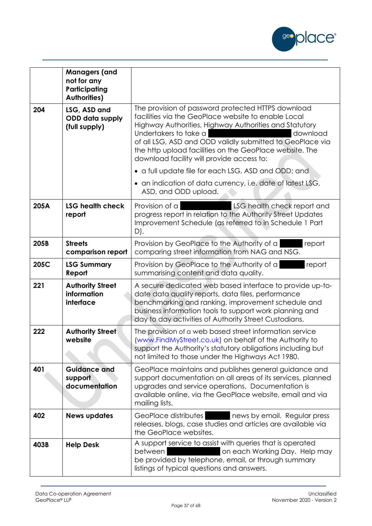

|      | <b>Managers (and</b><br>not for any<br>Participating<br><b>Authorities)</b> |                                                                                                                                                                                                                                                                                                                                                                                                                                      |
|------|-----------------------------------------------------------------------------|--------------------------------------------------------------------------------------------------------------------------------------------------------------------------------------------------------------------------------------------------------------------------------------------------------------------------------------------------------------------------------------------------------------------------------------|
| 204  | LSG, ASD and<br>ODD data supply<br>(full supply)                            | The provision of password protected HTTPS download<br>facilities via the GeoPlace website to enable Local<br>Highway Authorities, Highway Authorities and Statutory<br>Undertakers to take a<br>download<br>of all LSG, ASD and ODD validly submitted to GeoPlace via<br>the http upload facilities on the GeoPlace website. The<br>download facility will provide access to:<br>• a full update file for each LSG, ASD and ODD; and |
|      |                                                                             | • an indication of data currency, i.e. date of latest LSG,<br>ASD, and ODD upload.                                                                                                                                                                                                                                                                                                                                                   |
| 205A | <b>LSG health check</b><br>report                                           | LSG health check report and<br>Provision of a<br>progress report in relation to the Authority Street Updates<br>Improvement Schedule (as referred to in Schedule 1 Part<br>$D$ ).                                                                                                                                                                                                                                                    |
| 205B | <b>Streets</b><br>comparison report                                         | Provision by GeoPlace to the Authority of a<br>report<br>comparing street information from NAG and NSG.                                                                                                                                                                                                                                                                                                                              |
| 205C | <b>LSG Summary</b><br>Report                                                | Provision by GeoPlace to the Authority of a<br>report<br>summarising content and data quality.                                                                                                                                                                                                                                                                                                                                       |
| 221  | <b>Authority Street</b><br>information<br>interface                         | A secure dedicated web based interface to provide up-to-<br>date data quality reports, data files, performance<br>benchmarking and ranking, improvement schedule and<br>business information tools to support work planning and<br>day to day activities of Authority Street Custodians.                                                                                                                                             |
| 222  | <b>Authority Street</b><br>website                                          | The provision of a web based street information service<br>(www.FindMyStreet.co.uk) on behalf of the Authority to<br>support the Authority's statutory obligations including but<br>not limited to those under the Highways Act 1980.                                                                                                                                                                                                |
| 401  | <b>Guidance and</b><br>support<br>documentation                             | GeoPlace maintains and publishes general guidance and<br>support documentation on all areas of its services, planned<br>upgrades and service operations. Documentation is<br>available online, via the GeoPlace website, email and via<br>mailing lists.                                                                                                                                                                             |
| 402  | <b>News updates</b>                                                         | GeoPlace distributes<br>news by email. Regular press<br><u>e de la c</u><br>releases, blogs, case studies and articles are available via<br>the GeoPlace websites.                                                                                                                                                                                                                                                                   |
| 403B | <b>Help Desk</b>                                                            | A support service to assist with queries that is operated<br>between<br>on each Working Day. Help may<br>be provided by telephone, email, or through summary<br>listings of typical questions and answers.                                                                                                                                                                                                                           |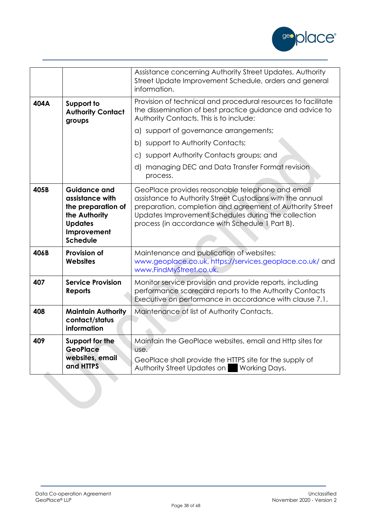

|      |                                                                                                                                   | Assistance concerning Authority Street Updates, Authority<br>Street Update Improvement Schedule, orders and general<br>information.                                                                                                                                                  |
|------|-----------------------------------------------------------------------------------------------------------------------------------|--------------------------------------------------------------------------------------------------------------------------------------------------------------------------------------------------------------------------------------------------------------------------------------|
| 404A | Support to<br><b>Authority Contact</b><br>groups                                                                                  | Provision of technical and procedural resources to facilitate<br>the dissemination of best practice guidance and advice to<br>Authority Contacts. This is to include:                                                                                                                |
|      |                                                                                                                                   | a) support of governance arrangements;                                                                                                                                                                                                                                               |
|      |                                                                                                                                   | support to Authority Contacts;<br>b)                                                                                                                                                                                                                                                 |
|      |                                                                                                                                   | c) support Authority Contacts groups; and                                                                                                                                                                                                                                            |
|      |                                                                                                                                   | managing DEC and Data Transfer Format revision<br>d)<br>process.                                                                                                                                                                                                                     |
| 405B | <b>Guidance and</b><br>assistance with<br>the preparation of<br>the Authority<br><b>Updates</b><br>Improvement<br><b>Schedule</b> | GeoPlace provides reasonable telephone and email<br>assistance to Authority Street Custodians with the annual<br>preparation, completion and agreement of Authority Street<br>Updates Improvement Schedules during the collection<br>process (in accordance with Schedule 1 Part B). |
| 406B | <b>Provision of</b><br><b>Websites</b>                                                                                            | Maintenance and publication of websites:<br>www.geoplace.co.uk, https://services.geoplace.co.uk/ and<br>www.FindMyStreet.co.uk.                                                                                                                                                      |
| 407  | <b>Service Provision</b><br><b>Reports</b>                                                                                        | Monitor service provision and provide reports, including<br>performance scorecard reports to the Authority Contacts<br>Executive on performance in accordance with clause 7.1.                                                                                                       |
| 408  | <b>Maintain Authority</b><br>contact/status<br>information                                                                        | Maintenance of list of Authority Contacts.                                                                                                                                                                                                                                           |
| 409  | Support for the<br><b>GeoPlace</b><br>websites, email<br>and HTTPS                                                                | Maintain the GeoPlace websites, email and Http sites for<br>use.<br>GeoPlace shall provide the HTTPS site for the supply of<br>Authority Street Updates on<br>Working Days.                                                                                                          |
|      |                                                                                                                                   |                                                                                                                                                                                                                                                                                      |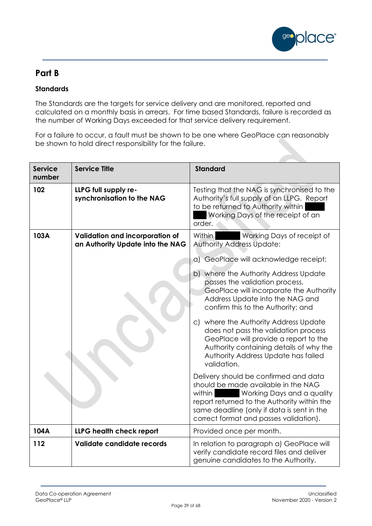

### **Part B**

#### **Standards**

The Standards are the targets for service delivery and are monitored, reported and calculated on a monthly basis in arrears. For time based Standards, failure is recorded as the number of Working Days exceeded for that service delivery requirement.

For a failure to occur, a fault must be shown to be one where GeoPlace can reasonably be shown to hold direct responsibility for the failure.

| <b>Service</b><br>number | <b>Service Title</b>                                                | <b>Standard</b>                                                                                                                                                                                                                                             |
|--------------------------|---------------------------------------------------------------------|-------------------------------------------------------------------------------------------------------------------------------------------------------------------------------------------------------------------------------------------------------------|
| 102                      | LLPG full supply re-<br>synchronisation to the NAG                  | Testing that the NAG is synchronised to the<br>Authority's full supply of an LLPG. Report<br>to be returned to Authority within<br>Working Days of the receipt of an<br>order.                                                                              |
| 103A                     | Validation and incorporation of<br>an Authority Update into the NAG | Within<br>Working Days of receipt of<br><b>Authority Address Update:</b>                                                                                                                                                                                    |
|                          |                                                                     | a) GeoPlace will acknowledge receipt;                                                                                                                                                                                                                       |
|                          |                                                                     | b) where the Authority Address Update<br>passes the validation process,<br>GeoPlace will incorporate the Authority<br>Address Update into the NAG and<br>confirm this to the Authority; and                                                                 |
|                          |                                                                     | where the Authority Address Update<br>$\mathsf{C}$<br>does not pass the validation process<br>GeoPlace will provide a report to the<br>Authority containing details of why the<br>Authority Address Update has failed<br>validation.                        |
|                          |                                                                     | Delivery should be confirmed and data<br>should be made available in the NAG<br>within<br>Working Days and a quality<br>report returned to the Authority within the<br>same deadline (only if data is sent in the<br>correct format and passes validation). |
| 104A                     | LLPG health check report                                            | Provided once per month.                                                                                                                                                                                                                                    |
| 112                      | Validate candidate records                                          | In relation to paragraph a) GeoPlace will<br>verify candidate record files and deliver<br>genuine candidates to the Authority.                                                                                                                              |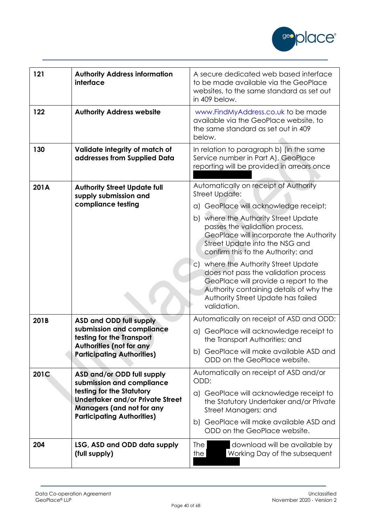

| 121  | <b>Authority Address information</b><br>interface                                                                                             | A secure dedicated web based interface<br>to be made available via the GeoPlace<br>websites, to the same standard as set out<br>in 409 below.                                                                                      |
|------|-----------------------------------------------------------------------------------------------------------------------------------------------|------------------------------------------------------------------------------------------------------------------------------------------------------------------------------------------------------------------------------------|
| 122  | <b>Authority Address website</b>                                                                                                              | www.FindMyAddress.co.uk to be made<br>available via the GeoPlace website, to<br>the same standard as set out in 409<br>below.                                                                                                      |
| 130  | Validate integrity of match of<br>addresses from Supplied Data                                                                                | In relation to paragraph b) (in the same<br>Service number in Part A), GeoPlace<br>reporting will be provided in arrears once                                                                                                      |
| 201A | <b>Authority Street Update full</b><br>supply submission and<br>compliance testing                                                            | Automatically on receipt of Authority<br><b>Street Update:</b><br>GeoPlace will acknowledge receipt;<br>a)                                                                                                                         |
|      |                                                                                                                                               | b) where the Authority Street Update<br>passes the validation process,<br>GeoPlace will incorporate the Authority<br>Street Update into the NSG and<br>confirm this to the Authority; and                                          |
|      |                                                                                                                                               | where the Authority Street Update<br>$\mathsf{C}$<br>does not pass the validation process<br>GeoPlace will provide a report to the<br>Authority containing details of why the<br>Authority Street Update has failed<br>validation. |
| 201B | ASD and ODD full supply                                                                                                                       | Automatically on receipt of ASD and ODD:                                                                                                                                                                                           |
|      | submission and compliance<br>testing for the Transport<br>Authorities (not for any<br><b>Participating Authorities)</b>                       | a) GeoPlace will acknowledge receipt to<br>the Transport Authorities; and                                                                                                                                                          |
|      |                                                                                                                                               | b) GeoPlace will make available ASD and<br>ODD on the GeoPlace website.                                                                                                                                                            |
| 201C | ASD and/or ODD full supply<br>submission and compliance                                                                                       | Automatically on receipt of ASD and/or<br>ODD:                                                                                                                                                                                     |
|      | testing for the Statutory<br><b>Undertaker and/or Private Street</b><br><b>Managers (and not for any</b><br><b>Participating Authorities)</b> | GeoPlace will acknowledge receipt to<br>a)<br>the Statutory Undertaker and/or Private<br>Street Managers; and                                                                                                                      |
|      |                                                                                                                                               | GeoPlace will make available ASD and<br>b)<br>ODD on the GeoPlace website.                                                                                                                                                         |
| 204  | LSG, ASD and ODD data supply<br>(full supply)                                                                                                 | The<br>download will be available by<br>Working Day of the subsequent<br>the                                                                                                                                                       |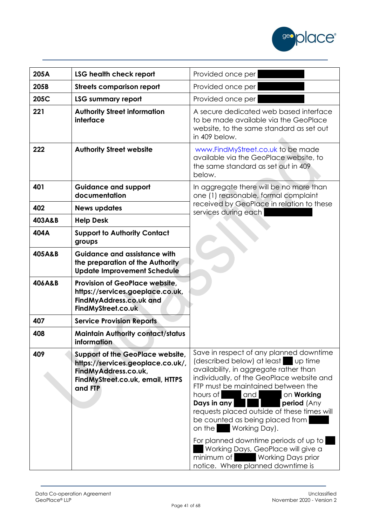

| 205A   | LSG health check report                                                                                                                             | Provided once per                                                                                                                                                                                                                                                                                                                                                                      |
|--------|-----------------------------------------------------------------------------------------------------------------------------------------------------|----------------------------------------------------------------------------------------------------------------------------------------------------------------------------------------------------------------------------------------------------------------------------------------------------------------------------------------------------------------------------------------|
| 205B   | <b>Streets comparison report</b>                                                                                                                    | Provided once per                                                                                                                                                                                                                                                                                                                                                                      |
| 205C   | LSG summary report                                                                                                                                  | Provided once per                                                                                                                                                                                                                                                                                                                                                                      |
| 221    | <b>Authority Street information</b><br>interface                                                                                                    | A secure dedicated web based interface<br>to be made available via the GeoPlace<br>website, to the same standard as set out<br>in 409 below.                                                                                                                                                                                                                                           |
| 222    | <b>Authority Street website</b>                                                                                                                     | www.FindMyStreet.co.uk to be made<br>available via the GeoPlace website, to<br>the same standard as set out in 409<br>below.                                                                                                                                                                                                                                                           |
| 401    | <b>Guidance and support</b><br>documentation                                                                                                        | In aggregate there will be no more than<br>one (1) reasonable, formal complaint                                                                                                                                                                                                                                                                                                        |
| 402    | <b>News updates</b>                                                                                                                                 | received by GeoPlace in relation to these<br>services during each                                                                                                                                                                                                                                                                                                                      |
| 403A&B | <b>Help Desk</b>                                                                                                                                    |                                                                                                                                                                                                                                                                                                                                                                                        |
| 404A   | <b>Support to Authority Contact</b><br>groups                                                                                                       |                                                                                                                                                                                                                                                                                                                                                                                        |
| 405A&B | <b>Guidance and assistance with</b><br>the preparation of the Authority<br><b>Update Improvement Schedule</b>                                       |                                                                                                                                                                                                                                                                                                                                                                                        |
| 406A&B | Provision of GeoPlace website,<br>https://services.goeplace.co.uk,<br>FindMyAddress.co.uk and<br>FindMyStreet.co.uk                                 |                                                                                                                                                                                                                                                                                                                                                                                        |
| 407    | <b>Service Provision Reports</b>                                                                                                                    |                                                                                                                                                                                                                                                                                                                                                                                        |
| 408    | <b>Maintain Authority contact/status</b><br>information                                                                                             |                                                                                                                                                                                                                                                                                                                                                                                        |
| 409    | <b>Support of the GeoPlace website,</b><br>https://services.geoplace.co.uk/,<br>FindMyAddress.co.uk,<br>FindMyStreet.co.uk, email, HTTPS<br>and FTP | Save in respect of any planned downtime<br>(described below) at least up time<br>availability, in aggregate rather than<br>individually, of the GeoPlace website and<br>FTP must be maintained between the<br>hours of<br>and<br>on Working<br>Days in any<br>period (Any<br>requests placed outside of these times will<br>be counted as being placed from<br>on the<br>Working Day). |
|        |                                                                                                                                                     | For planned downtime periods of up to<br>Working Days, GeoPlace will give a<br>minimum of<br><b>Working Days prior</b><br>notice. Where planned downtime is                                                                                                                                                                                                                            |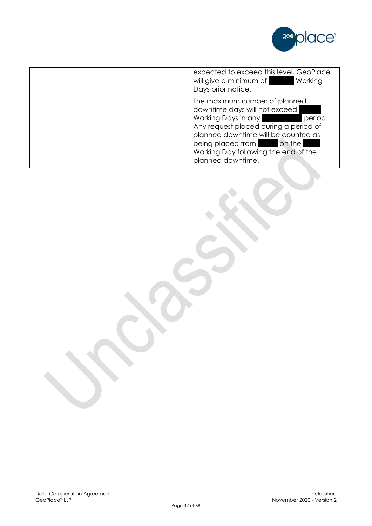

| expected to exceed this level, GeoPlace<br>will give a minimum of Working<br>Days prior notice.                                                                                                                                                                                                                         |
|-------------------------------------------------------------------------------------------------------------------------------------------------------------------------------------------------------------------------------------------------------------------------------------------------------------------------|
| The maximum number of planned<br>downtime days will not exceed<br>Working Days in any<br>period.<br><u> Tanzania de la provincia de la pro</u><br>Any request placed during a period of<br>planned downtime will be counted as<br>being placed from on the<br>Working Day following the end of the<br>planned downtime. |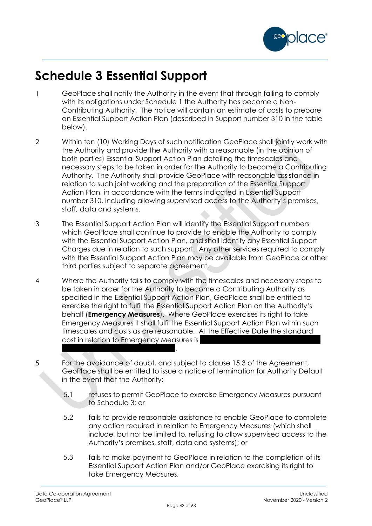

## <span id="page-42-0"></span>**Schedule 3 Essential Support**

- 1 GeoPlace shall notify the Authority in the event that through failing to comply with its obligations under Schedule 1 the Authority has become a Non-Contributing Authority. The notice will contain an estimate of costs to prepare an Essential Support Action Plan (described in Support number 310 in the table below).
- 2 Within ten (10) Working Days of such notification GeoPlace shall jointly work with the Authority and provide the Authority with a reasonable (in the opinion of both parties) Essential Support Action Plan detailing the timescales and necessary steps to be taken in order for the Authority to become a Contributing Authority. The Authority shall provide GeoPlace with reasonable assistance in relation to such joint working and the preparation of the Essential Support Action Plan, in accordance with the terms indicated in Essential Support number 310, including allowing supervised access to the Authority's premises, staff, data and systems.
- 3 The Essential Support Action Plan will identify the Essential Support numbers which GeoPlace shall continue to provide to enable the Authority to comply with the Essential Support Action Plan, and shall identify any Essential Support Charges due in relation to such support. Any other services required to comply with the Essential Support Action Plan may be available from GeoPlace or other third parties subject to separate agreement.
- 4 Where the Authority fails to comply with the timescales and necessary steps to be taken in order for the Authority to become a Contributing Authority as specified in the Essential Support Action Plan, GeoPlace shall be entitled to exercise the right to fulfil the Essential Support Action Plan on the Authority's behalf (**Emergency Measures**). Where GeoPlace exercises its right to take Emergency Measures it shall fulfil the Essential Support Action Plan within such timescales and costs as are reasonable. At the Effective Date the standard cost in relation to Emergency Measures is xxxxxxxx xxxxxxxxxxx xxx xxxxxxx xxx.
- 5 For the avoidance of doubt, and subject to clause 15.3 of the Agreement, GeoPlace shall be entitled to issue a notice of termination for Authority Default in the event that the Authority:
	- 5.1 refuses to permit GeoPlace to exercise Emergency Measures pursuant to Schedule 3; or
	- 5.2 fails to provide reasonable assistance to enable GeoPlace to complete any action required in relation to Emergency Measures (which shall include, but not be limited to, refusing to allow supervised access to the Authority's premises, staff, data and systems); or
	- 5.3 fails to make payment to GeoPlace in relation to the completion of its Essential Support Action Plan and/or GeoPlace exercising its right to take Emergency Measures.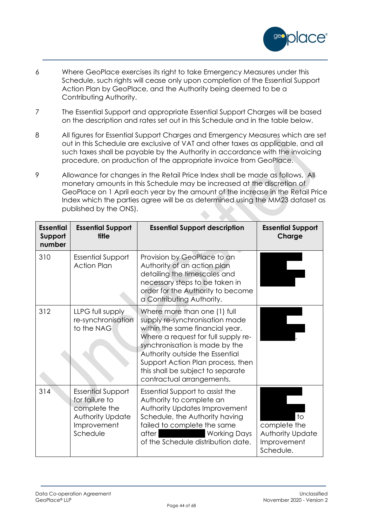

- 6 Where GeoPlace exercises its right to take Emergency Measures under this Schedule, such rights will cease only upon completion of the Essential Support Action Plan by GeoPlace, and the Authority being deemed to be a Contributing Authority.
- 7 The Essential Support and appropriate Essential Support Charges will be based on the description and rates set out in this Schedule and in the table below.
- 8 All figures for Essential Support Charges and Emergency Measures which are set out in this Schedule are exclusive of VAT and other taxes as applicable, and all such taxes shall be payable by the Authority in accordance with the invoicing procedure, on production of the appropriate invoice from GeoPlace.
- 9 Allowance for changes in the Retail Price Index shall be made as follows. All monetary amounts in this Schedule may be increased at the discretion of GeoPlace on 1 April each year by the amount of the increase in the Retail Price Index which the parties agree will be as determined using the MM23 dataset as published by the ONS).

| <b>Essential</b><br>Support<br>number | <b>Essential Support</b><br>title                                                                         | <b>Essential Support description</b>                                                                                                                                                                                                                                                                                 | <b>Essential Support</b><br>Charge                                             |
|---------------------------------------|-----------------------------------------------------------------------------------------------------------|----------------------------------------------------------------------------------------------------------------------------------------------------------------------------------------------------------------------------------------------------------------------------------------------------------------------|--------------------------------------------------------------------------------|
| 310                                   | <b>Essential Support</b><br><b>Action Plan</b>                                                            | Provision by GeoPlace to an<br>Authority of an action plan<br>detailing the timescales and<br>necessary steps to be taken in<br>order for the Authority to become<br>a Contributing Authority.                                                                                                                       |                                                                                |
| 312                                   | LLPG full supply<br>re-synchronisation<br>to the NAG                                                      | Where more than one (1) full<br>supply re-synchronisation made<br>within the same financial year.<br>Where a request for full supply re-<br>synchronisation is made by the<br>Authority outside the Essential<br>Support Action Plan process, then<br>this shall be subject to separate<br>contractual arrangements. |                                                                                |
| 314                                   | <b>Essential Support</b><br>for failure to<br>complete the<br>Authority Update<br>Improvement<br>Schedule | Essential Support to assist the<br>Authority to complete an<br>Authority Updates Improvement<br>Schedule, the Authority having<br>failed to complete the same<br><b>Working Days</b><br>after<br>of the Schedule distribution date.                                                                                  | $\overline{1}$<br>complete the<br>Authority Update<br>Improvement<br>Schedule. |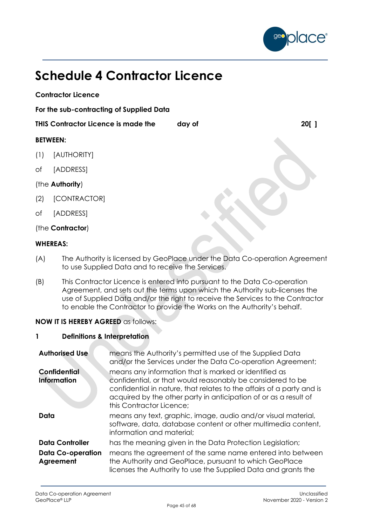

## <span id="page-44-0"></span>**Schedule 4 Contractor Licence**

**Contractor Licence**

**For the sub-contracting of Supplied Data**

**THIS Contractor Licence is made the day of 20[ ]**

#### **BETWEEN:**

- (1) [AUTHORITY]
- of [ADDRESS]

#### (the **Authority**)

- (2) [CONTRACTOR]
- of [ADDRESS]

#### (the **Contractor**)

#### **WHEREAS:**

- (A) The Authority is licensed by GeoPlace under the Data Co-operation Agreement to use Supplied Data and to receive the Services.
- (B) This Contractor Licence is entered into pursuant to the Data Co-operation Agreement, and sets out the terms upon which the Authority sub-licenses the use of Supplied Data and/or the right to receive the Services to the Contractor to enable the Contractor to provide the Works on the Authority's behalf.

#### **NOW IT IS HEREBY AGREED** as follows:

#### **1 Definitions & Interpretation**

| <b>Authorised Use</b>                     | means the Authority's permitted use of the Supplied Data<br>and/or the Services under the Data Co-operation Agreement;                                                                                                                                                                       |
|-------------------------------------------|----------------------------------------------------------------------------------------------------------------------------------------------------------------------------------------------------------------------------------------------------------------------------------------------|
| <b>Confidential</b><br><b>Information</b> | means any information that is marked or identified as<br>confidential, or that would reasonably be considered to be<br>confidential in nature, that relates to the affairs of a party and is<br>acquired by the other party in anticipation of or as a result of<br>this Contractor Licence: |
| Data                                      | means any text, graphic, image, audio and/or visual material,<br>software, data, database content or other multimedia content,<br>information and material;                                                                                                                                  |
| <b>Data Controller</b>                    | has the meaning given in the Data Protection Legislation;                                                                                                                                                                                                                                    |
| <b>Data Co-operation</b><br>Agreement     | means the agreement of the same name entered into between<br>the Authority and GeoPlace, pursuant to which GeoPlace<br>licenses the Authority to use the Supplied Data and grants the                                                                                                        |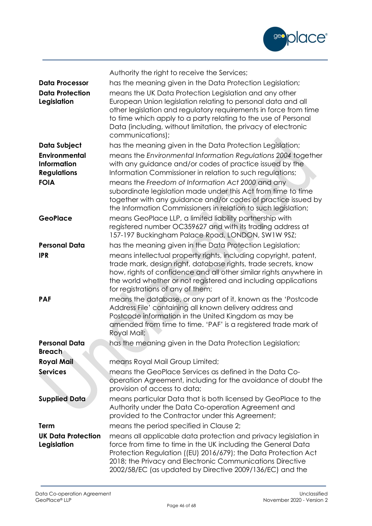

|                                                           | Authority the right to receive the Services;                                                                                                                                                                                                                                                                                                       |
|-----------------------------------------------------------|----------------------------------------------------------------------------------------------------------------------------------------------------------------------------------------------------------------------------------------------------------------------------------------------------------------------------------------------------|
| <b>Data Processor</b>                                     | has the meaning given in the Data Protection Legislation;                                                                                                                                                                                                                                                                                          |
| <b>Data Protection</b><br>Legislation                     | means the UK Data Protection Legislation and any other<br>European Union legislation relating to personal data and all<br>other legislation and regulatory requirements in force from time<br>to time which apply to a party relating to the use of Personal<br>Data (including, without limitation, the privacy of electronic<br>communications); |
| Data Subject                                              | has the meaning given in the Data Protection Legislation;                                                                                                                                                                                                                                                                                          |
| Environmental<br><b>Information</b><br><b>Regulations</b> | means the Environmental Information Regulations 2004 together<br>with any guidance and/or codes of practice issued by the<br>Information Commissioner in relation to such regulations;                                                                                                                                                             |
| <b>FOIA</b>                                               | means the Freedom of Information Act 2000 and any<br>subordinate legislation made under this Act from time to time<br>together with any guidance and/or codes of practice issued by<br>the Information Commissioners in relation to such legislation;                                                                                              |
| <b>GeoPlace</b>                                           | means GeoPlace LLP, a limited liability partnership with<br>registered number OC359627 and with its trading address at<br>157-197 Buckingham Palace Road, LONDON, SW1W 9SZ;                                                                                                                                                                        |
| <b>Personal Data</b>                                      | has the meaning given in the Data Protection Legislation;                                                                                                                                                                                                                                                                                          |
| <b>IPR</b>                                                | means intellectual property rights, including copyright, patent,<br>trade mark, design right, database rights, trade secrets, know<br>how, rights of confidence and all other similar rights anywhere in<br>the world whether or not registered and including applications<br>for registrations of any of them;                                    |
| <b>PAF</b>                                                | means the database, or any part of it, known as the 'Postcode<br>Address File' containing all known delivery address and<br>Postcode information in the United Kingdom as may be<br>amended from time to time. 'PAF' is a registered trade mark of<br>Royal Mail;                                                                                  |
| <b>Personal Data</b><br><b>Breach</b>                     | has the meaning given in the Data Protection Legislation;                                                                                                                                                                                                                                                                                          |
| <b>Royal Mail</b>                                         | means Royal Mail Group Limited;                                                                                                                                                                                                                                                                                                                    |
| <b>Services</b>                                           | means the GeoPlace Services as defined in the Data Co-<br>operation Agreement, including for the avoidance of doubt the<br>provision of access to data;                                                                                                                                                                                            |
| <b>Supplied Data</b>                                      | means particular Data that is both licensed by GeoPlace to the<br>Authority under the Data Co-operation Agreement and<br>provided to the Contractor under this Agreement;                                                                                                                                                                          |
| Term                                                      | means the period specified in Clause 2;                                                                                                                                                                                                                                                                                                            |
| <b>UK Data Protection</b><br>Legislation                  | means all applicable data protection and privacy legislation in<br>force from time to time in the UK including the General Data<br>Protection Regulation ((EU) 2016/679); the Data Protection Act<br>2018; the Privacy and Electronic Communications Directive<br>2002/58/EC (as updated by Directive 2009/136/EC) and the                         |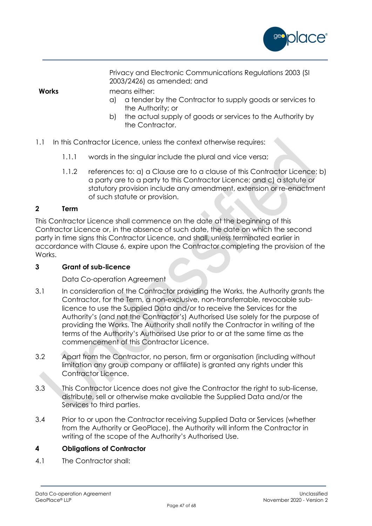

Privacy and Electronic Communications Regulations 2003 (SI 2003/2426) as amended; and

**Works** means either:

- a) a tender by the Contractor to supply goods or services to the Authority; or
- b) the actual supply of goods or services to the Authority by the Contractor.
- 1.1 In this Contractor Licence, unless the context otherwise requires:
	- 1.1.1 words in the singular include the plural and vice versa;
	- 1.1.2 references to: a) a Clause are to a clause of this Contractor Licence; b) a party are to a party to this Contractor Licence; and c) a statute or statutory provision include any amendment, extension or re-enactment of such statute or provision.

#### **2 Term**

This Contractor Licence shall commence on the date at the beginning of this Contractor Licence or, in the absence of such date, the date on which the second party in time signs this Contractor Licence, and shall, unless terminated earlier in accordance with Clause 6, expire upon the Contractor completing the provision of the Works.

#### **3 Grant of sub-licence**

Data Co-operation Agreement

- 3.1 In consideration of the Contractor providing the Works, the Authority grants the Contractor, for the Term, a non-exclusive, non-transferrable, revocable sublicence to use the Supplied Data and/or to receive the Services for the Authority's (and not the Contractor's) Authorised Use solely for the purpose of providing the Works. The Authority shall notify the Contractor in writing of the terms of the Authority's Authorised Use prior to or at the same time as the commencement of this Contractor Licence.
- 3.2 Apart from the Contractor, no person, firm or organisation (including without limitation any group company or affiliate) is granted any rights under this Contractor Licence.
- 3.3 This Contractor Licence does not give the Contractor the right to sub-license, distribute, sell or otherwise make available the Supplied Data and/or the Services to third parties.
- 3.4 Prior to or upon the Contractor receiving Supplied Data or Services (whether from the Authority or GeoPlace), the Authority will inform the Contractor in writing of the scope of the Authority's Authorised Use.

#### **4 Obligations of Contractor**

4.1 The Contractor shall: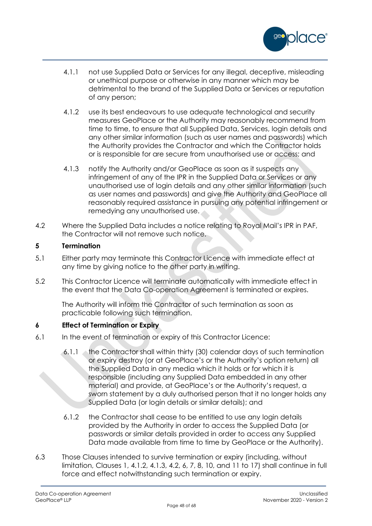

- 4.1.1 not use Supplied Data or Services for any illegal, deceptive, misleading or unethical purpose or otherwise in any manner which may be detrimental to the brand of the Supplied Data or Services or reputation of any person;
- 4.1.2 use its best endeavours to use adequate technological and security measures GeoPlace or the Authority may reasonably recommend from time to time, to ensure that all Supplied Data, Services, login details and any other similar information (such as user names and passwords) which the Authority provides the Contractor and which the Contractor holds or is responsible for are secure from unauthorised use or access; and
- 4.1.3 notify the Authority and/or GeoPlace as soon as it suspects any infringement of any of the IPR in the Supplied Data or Services or any unauthorised use of login details and any other similar information (such as user names and passwords) and give the Authority and GeoPlace all reasonably required assistance in pursuing any potential infringement or remedying any unauthorised use.
- 4.2 Where the Supplied Data includes a notice relating to Royal Mail's IPR in PAF, the Contractor will not remove such notice.

#### **5 Termination**

- 5.1 Either party may terminate this Contractor Licence with immediate effect at any time by giving notice to the other party in writing.
- 5.2 This Contractor Licence will terminate automatically with immediate effect in the event that the Data Co-operation Agreement is terminated or expires.

The Authority will inform the Contractor of such termination as soon as practicable following such termination.

#### **6 Effect of Termination or Expiry**

- 6.1 In the event of termination or expiry of this Contractor Licence:
	- 6.1.1 the Contractor shall within thirty (30) calendar days of such termination or expiry destroy (or at GeoPlace's or the Authority's option return) all the Supplied Data in any media which it holds or for which it is responsible (including any Supplied Data embedded in any other material) and provide, at GeoPlace's or the Authority's request, a sworn statement by a duly authorised person that it no longer holds any Supplied Data (or login details or similar details); and
	- 6.1.2 the Contractor shall cease to be entitled to use any login details provided by the Authority in order to access the Supplied Data (or passwords or similar details provided in order to access any Supplied Data made available from time to time by GeoPlace or the Authority).
- 6.3 Those Clauses intended to survive termination or expiry (including, without limitation, Clauses 1, 4.1.2, 4.1.3, 4.2, 6, 7, 8, 10, and 11 to 17) shall continue in full force and effect notwithstanding such termination or expiry.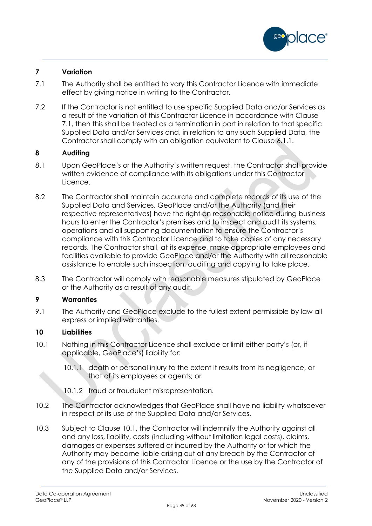

#### **7 Variation**

- 7.1 The Authority shall be entitled to vary this Contractor Licence with immediate effect by giving notice in writing to the Contractor.
- 7.2 If the Contractor is not entitled to use specific Supplied Data and/or Services as a result of the variation of this Contractor Licence in accordance with Clause 7.1, then this shall be treated as a termination in part in relation to that specific Supplied Data and/or Services and, in relation to any such Supplied Data, the Contractor shall comply with an obligation equivalent to Clause 6.1.1.

#### **8 Auditing**

- 8.1 Upon GeoPlace's or the Authority's written request, the Contractor shall provide written evidence of compliance with its obligations under this Contractor Licence.
- 8.2 The Contractor shall maintain accurate and complete records of its use of the Supplied Data and Services. GeoPlace and/or the Authority (and their respective representatives) have the right on reasonable notice during business hours to enter the Contractor's premises and to inspect and audit its systems, operations and all supporting documentation to ensure the Contractor's compliance with this Contractor Licence and to take copies of any necessary records. The Contractor shall, at its expense, make appropriate employees and facilities available to provide GeoPlace and/or the Authority with all reasonable assistance to enable such inspection, auditing and copying to take place.
- 8.3 The Contractor will comply with reasonable measures stipulated by GeoPlace or the Authority as a result of any audit.

#### **9 Warranties**

9.1 The Authority and GeoPlace exclude to the fullest extent permissible by law all express or implied warranties.

#### **10 Liabilities**

- 10.1 Nothing in this Contractor Licence shall exclude or limit either party's (or, if applicable, GeoPlace's) liability for:
	- 10.1.1 death or personal injury to the extent it results from its negligence, or that of its employees or agents; or
	- 10.1.2 fraud or fraudulent misrepresentation.
- 10.2 The Contractor acknowledges that GeoPlace shall have no liability whatsoever in respect of its use of the Supplied Data and/or Services.
- 10.3 Subject to Clause 10.1, the Contractor will indemnify the Authority against all and any loss, liability, costs (including without limitation legal costs), claims, damages or expenses suffered or incurred by the Authority or for which the Authority may become liable arising out of any breach by the Contractor of any of the provisions of this Contractor Licence or the use by the Contractor of the Supplied Data and/or Services.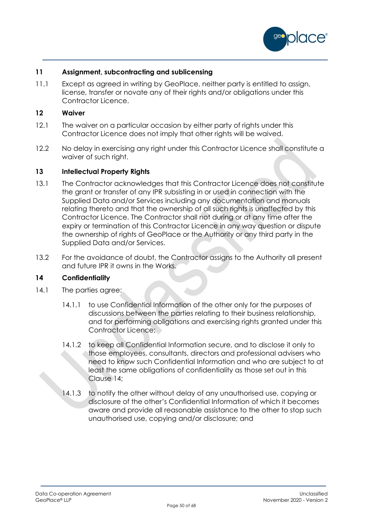

#### **11 Assignment, subcontracting and sublicensing**

11.1 Except as agreed in writing by GeoPlace, neither party is entitled to assign, license, transfer or novate any of their rights and/or obligations under this Contractor Licence.

#### **12 Waiver**

- 12.1 The waiver on a particular occasion by either party of rights under this Contractor Licence does not imply that other rights will be waived.
- 12.2 No delay in exercising any right under this Contractor Licence shall constitute a waiver of such right.

#### **13 Intellectual Property Rights**

- 13.1 The Contractor acknowledges that this Contractor Licence does not constitute the grant or transfer of any IPR subsisting in or used in connection with the Supplied Data and/or Services including any documentation and manuals relating thereto and that the ownership of all such rights is unaffected by this Contractor Licence. The Contractor shall not during or at any time after the expiry or termination of this Contractor Licence in any way question or dispute the ownership of rights of GeoPlace or the Authority or any third party in the Supplied Data and/or Services.
- 13.2 For the avoidance of doubt, the Contractor assigns to the Authority all present and future IPR it owns in the Works.

#### **14 Confidentiality**

- 14.1 The parties agree:
	- 14.1.1 to use Confidential Information of the other only for the purposes of discussions between the parties relating to their business relationship, and for performing obligations and exercising rights granted under this Contractor Licence:
	- 14.1.2 to keep all Confidential Information secure, and to disclose it only to those employees, consultants, directors and professional advisers who need to know such Confidential Information and who are subject to at least the same obligations of confidentiality as those set out in this Clause 14;
	- 14.1.3 to notify the other without delay of any unauthorised use, copying or disclosure of the other's Confidential Information of which it becomes aware and provide all reasonable assistance to the other to stop such unauthorised use, copying and/or disclosure; and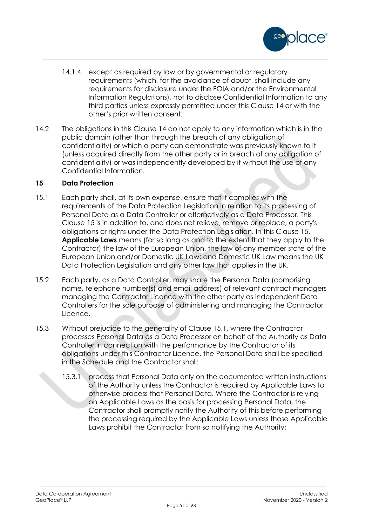

- 14.1.4 except as required by law or by governmental or regulatory requirements (which, for the avoidance of doubt, shall include any requirements for disclosure under the FOIA and/or the Environmental Information Regulations), not to disclose Confidential Information to any third parties unless expressly permitted under this Clause 14 or with the other's prior written consent.
- 14.2 The obligations in this Clause 14 do not apply to any information which is in the public domain (other than through the breach of any obligation of confidentiality) or which a party can demonstrate was previously known to it (unless acquired directly from the other party or in breach of any obligation of confidentiality) or was independently developed by it without the use of any Confidential Information.

#### **15 Data Protection**

- 15.1 Each party shall, at its own expense, ensure that it complies with the requirements of the Data Protection Legislation in relation to its processing of Personal Data as a Data Controller or alternatively as a Data Processor. This Clause 15 is in addition to, and does not relieve, remove or replace, a party's obligations or rights under the Data Protection Legislation. In this Clause 15, **Applicable Laws** means (for so long as and to the extent that they apply to the Contractor) the law of the European Union, the law of any member state of the European Union and/or Domestic UK Law; and Domestic UK Law means the UK Data Protection Legislation and any other law that applies in the UK.
- 15.2 Each party, as a Data Controller, may share the Personal Data (comprising name, telephone number(s) and email address) of relevant contract managers managing the Contractor Licence with the other party as independent Data Controllers for the sole purpose of administering and managing the Contractor Licence.
- 15.3 Without prejudice to the generality of Clause 15.1, where the Contractor processes Personal Data as a Data Processor on behalf of the Authority as Data Controller in connection with the performance by the Contractor of its obligations under this Contractor Licence, the Personal Data shall be specified in the Schedule and the Contractor shall:
	- 15.3.1 process that Personal Data only on the documented written instructions of the Authority unless the Contractor is required by Applicable Laws to otherwise process that Personal Data. Where the Contractor is relying on Applicable Laws as the basis for processing Personal Data, the Contractor shall promptly notify the Authority of this before performing the processing required by the Applicable Laws unless those Applicable Laws prohibit the Contractor from so notifying the Authority;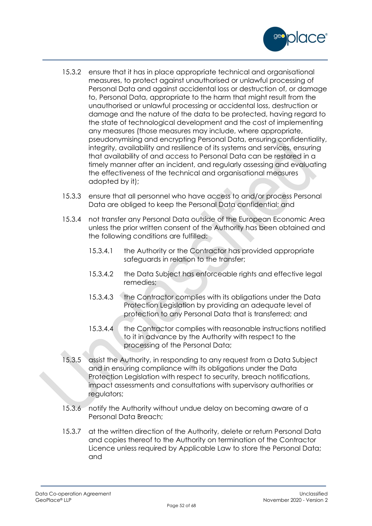

- 15.3.2 ensure that it has in place appropriate technical and organisational measures, to protect against unauthorised or unlawful processing of Personal Data and against accidental loss or destruction of, or damage to, Personal Data, appropriate to the harm that might result from the unauthorised or unlawful processing or accidental loss, destruction or damage and the nature of the data to be protected, having regard to the state of technological development and the cost of implementing any measures (those measures may include, where appropriate, pseudonymising and encrypting Personal Data, ensuring confidentiality, integrity, availability and resilience of its systems and services, ensuring that availability of and access to Personal Data can be restored in a timely manner after an incident, and regularly assessing and evaluating the effectiveness of the technical and organisational measures adopted by it);
- 15.3.3 ensure that all personnel who have access to and/or process Personal Data are obliged to keep the Personal Data confidential; and
- 15.3.4 not transfer any Personal Data outside of the European Economic Area unless the prior written consent of the Authority has been obtained and the following conditions are fulfilled:
	- 15.3.4.1 the Authority or the Contractor has provided appropriate safeguards in relation to the transfer;
	- 15.3.4.2 the Data Subject has enforceable rights and effective legal remedies;
	- 15.3.4.3 the Contractor complies with its obligations under the Data Protection Legislation by providing an adequate level of protection to any Personal Data that is transferred; and
	- 15.3.4.4 the Contractor complies with reasonable instructions notified to it in advance by the Authority with respect to the processing of the Personal Data;
- 15.3.5 assist the Authority, in responding to any request from a Data Subject and in ensuring compliance with its obligations under the Data Protection Legislation with respect to security, breach notifications, impact assessments and consultations with supervisory authorities or regulators;
- 15.3.6 notify the Authority without undue delay on becoming aware of a Personal Data Breach;
- 15.3.7 at the written direction of the Authority, delete or return Personal Data and copies thereof to the Authority on termination of the Contractor Licence unless required by Applicable Law to store the Personal Data; and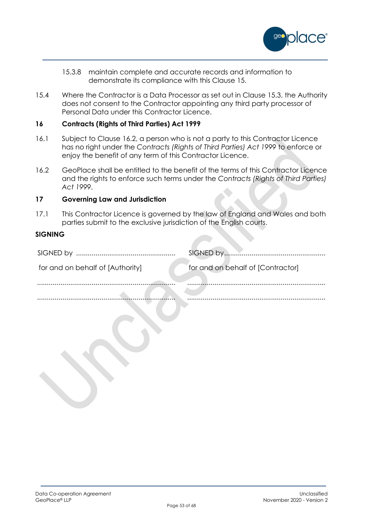

- 15.3.8 maintain complete and accurate records and information to demonstrate its compliance with this Clause 15.
- 15.4 Where the Contractor is a Data Processor as set out in Clause 15.3, the Authority does not consent to the Contractor appointing any third party processor of Personal Data under this Contractor Licence.

#### **16 Contracts (Rights of Third Parties) Act 1999**

- 16.1 Subject to Clause 16.2, a person who is not a party to this Contractor Licence has no right under the *Contracts (Rights of Third Parties) Act 1999* to enforce or enjoy the benefit of any term of this Contractor Licence.
- 16.2 GeoPlace shall be entitled to the benefit of the terms of this Contractor Licence and the rights to enforce such terms under the *Contracts (Rights of Third Parties) Act 1999*.

#### **17 Governing Law and Jurisdiction**

17.1 This Contractor Licence is governed by the law of England and Wales and both parties submit to the exclusive jurisdiction of the English courts.

#### **SIGNING**

| for and on behalf of [Authority] | for and on behalf of [Contractor] |
|----------------------------------|-----------------------------------|
|                                  |                                   |
|                                  |                                   |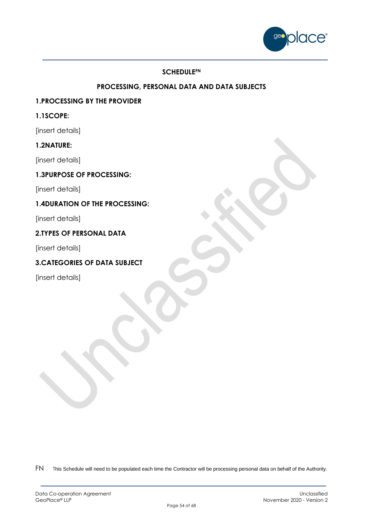

#### **SCHEDULEFN**

#### **PROCESSING, PERSONAL DATA AND DATA SUBJECTS**

#### **1.PROCESSING BY THE PROVIDER**

#### **1.1SCOPE:**

[insert details]

#### **1.2NATURE:**

[insert details]

#### **1.3PURPOSE OF PROCESSING:**

[insert details]

#### **1.4DURATION OF THE PROCESSING:**

[insert details]

#### **2.TYPES OF PERSONAL DATA**

[insert details]

#### **3.CATEGORIES OF DATA SUBJECT**

[insert details]

FN This Schedule will need to be populated each time the Contractor will be processing personal data on behalf of the Authority.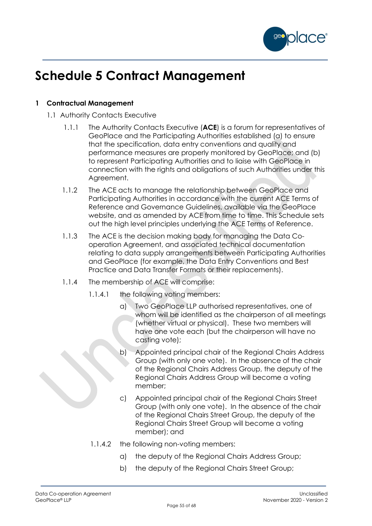

## <span id="page-54-0"></span>**Schedule 5 Contract Management**

#### **1 Contractual Management**

- 1.1 Authority Contacts Executive
	- 1.1.1 The Authority Contacts Executive (**ACE**) is a forum for representatives of GeoPlace and the Participating Authorities established (a) to ensure that the specification, data entry conventions and quality and performance measures are properly monitored by GeoPlace; and (b) to represent Participating Authorities and to liaise with GeoPlace in connection with the rights and obligations of such Authorities under this Agreement.
	- 1.1.2 The ACE acts to manage the relationship between GeoPlace and Participating Authorities in accordance with the current ACE Terms of Reference and Governance Guidelines, available via the GeoPlace website, and as amended by ACE from time to time. This Schedule sets out the high level principles underlying the ACE Terms of Reference.
	- 1.1.3 The ACE is the decision making body for managing the Data Cooperation Agreement, and associated technical documentation relating to data supply arrangements between Participating Authorities and GeoPlace (for example, the Data Entry Conventions and Best Practice and Data Transfer Formats or their replacements).
	- 1.1.4 The membership of ACE will comprise:
		- 1.1.4.1 the following voting members:
			- a) Two GeoPlace LLP authorised representatives, one of whom will be identified as the chairperson of all meetings (whether virtual or physical). These two members will have one vote each (but the chairperson will have no casting vote);
			- b) Appointed principal chair of the Regional Chairs Address Group (with only one vote). In the absence of the chair of the Regional Chairs Address Group, the deputy of the Regional Chairs Address Group will become a voting member;
			- c) Appointed principal chair of the Regional Chairs Street Group (with only one vote). In the absence of the chair of the Regional Chairs Street Group, the deputy of the Regional Chairs Street Group will become a voting member); and
		- 1.1.4.2 the following non-voting members:
			- a) the deputy of the Regional Chairs Address Group;
			- b) the deputy of the Regional Chairs Street Group;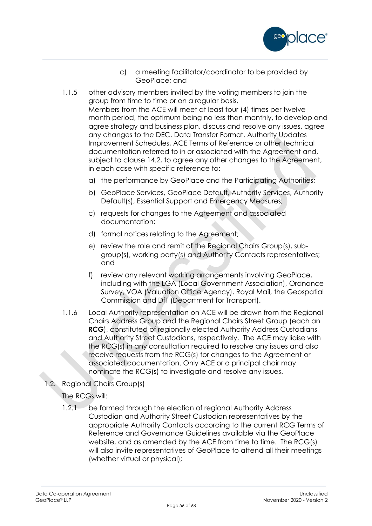

- c) a meeting facilitator/coordinator to be provided by GeoPlace; and
- 1.1.5 other advisory members invited by the voting members to join the group from time to time or on a regular basis. Members from the ACE will meet at least four (4) times per twelve month period, the optimum being no less than monthly, to develop and agree strategy and business plan, discuss and resolve any issues, agree any changes to the DEC, Data Transfer Format, Authority Updates Improvement Schedules, ACE Terms of Reference or other technical documentation referred to in or associated with the Agreement and, subject to clause 14.2, to agree any other changes to the Agreement, in each case with specific reference to:
	- a) the performance by GeoPlace and the Participating Authorities;
	- b) GeoPlace Services, GeoPlace Default, Authority Services, Authority Default(s), Essential Support and Emergency Measures;
	- c) requests for changes to the Agreement and associated documentation;
	- d) formal notices relating to the Agreement;
	- e) review the role and remit of the Regional Chairs Group(s), subgroup(s), working party(s) and Authority Contacts representatives; and
	- f) review any relevant working arrangements involving GeoPlace, including with the LGA (Local Government Association), Ordnance Survey, VOA (Valuation Office Agency), Royal Mail, the Geospatial Commission and DfT (Department for Transport).
- 1.1.6 Local Authority representation on ACE will be drawn from the Regional Chairs Address Group and the Regional Chairs Street Group (each an **RCG**), constituted of regionally elected Authority Address Custodians and Authority Street Custodians, respectively. The ACE may liaise with the RCG(s) in any consultation required to resolve any issues and also receive requests from the RCG(s) for changes to the Agreement or associated documentation. Only ACE or a principal chair may nominate the RCG(s) to investigate and resolve any issues.
- 1.2. Regional Chairs Group(s)

The RCGs will:

1.2.1 be formed through the election of regional Authority Address Custodian and Authority Street Custodian representatives by the appropriate Authority Contacts according to the current RCG Terms of Reference and Governance Guidelines available via the GeoPlace website, and as amended by the ACE from time to time. The RCG(s) will also invite representatives of GeoPlace to attend all their meetings (whether virtual or physical);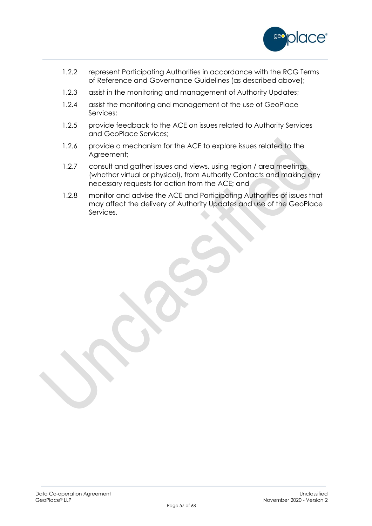

- 1.2.2 represent Participating Authorities in accordance with the RCG Terms of Reference and Governance Guidelines (as described above);
- 1.2.3 assist in the monitoring and management of Authority Updates;
- 1.2.4 assist the monitoring and management of the use of GeoPlace Services;
- 1.2.5 provide feedback to the ACE on issues related to Authority Services and GeoPlace Services;
- 1.2.6 provide a mechanism for the ACE to explore issues related to the Agreement;
- 1.2.7 consult and gather issues and views, using region / area meetings (whether virtual or physical), from Authority Contacts and making any necessary requests for action from the ACE; and
- 1.2.8 monitor and advise the ACE and Participating Authorities of issues that may affect the delivery of Authority Updates and use of the GeoPlace Services.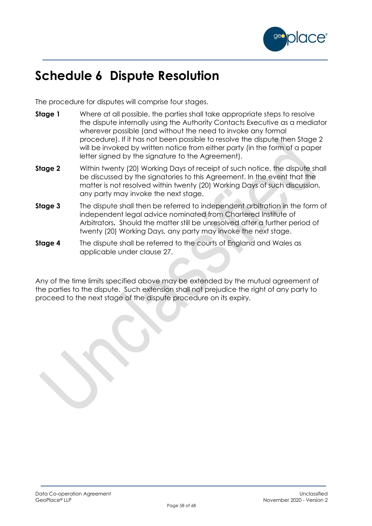

## <span id="page-57-0"></span>**Schedule 6 Dispute Resolution**

The procedure for disputes will comprise four stages.

- **Stage 1** Where at all possible, the parties shall take appropriate steps to resolve the dispute internally using the Authority Contacts Executive as a mediator wherever possible (and without the need to invoke any formal procedure). If it has not been possible to resolve the dispute then Stage 2 will be invoked by written notice from either party (in the form of a paper letter signed by the signature to the Agreement).
- **Stage 2** Within twenty (20) Working Days of receipt of such notice, the dispute shall be discussed by the signatories to this Agreement. In the event that the matter is not resolved within twenty (20) Working Days of such discussion, any party may invoke the next stage.
- **Stage 3** The dispute shall then be referred to independent arbitration in the form of independent legal advice nominated from Chartered Institute of Arbitrators**.** Should the matter still be unresolved after a further period of twenty (20) Working Days, any party may invoke the next stage.
- **Stage 4** The dispute shall be referred to the courts of England and Wales as applicable under clause 27.

Any of the time limits specified above may be extended by the mutual agreement of the parties to the dispute. Such extension shall not prejudice the right of any party to proceed to the next stage of the dispute procedure on its expiry.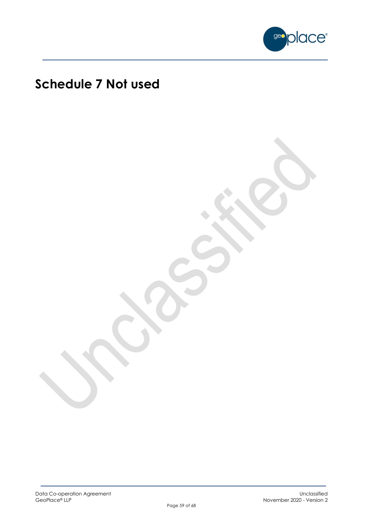

## <span id="page-58-0"></span>**Schedule 7 Not used**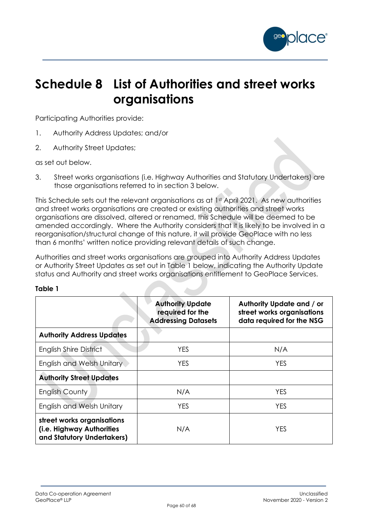

### <span id="page-59-0"></span>**Schedule 8 List of Authorities and street works organisations**

Participating Authorities provide:

- 1. Authority Address Updates; and/or
- 2. Authority Street Updates;

as set out below.

3. Street works organisations (i.e. Highway Authorities and Statutory Undertakers) are those organisations referred to in section 3 below.

This Schedule sets out the relevant organisations as at 1st April 2021. As new authorities and street works organisations are created or existing authorities and street works organisations are dissolved, altered or renamed, this Schedule will be deemed to be amended accordingly. Where the Authority considers that it is likely to be involved in a reorganisation/structural change of this nature, it will provide GeoPlace with no less than 6 months' written notice providing relevant details of such change.

Authorities and street works organisations are grouped into Authority Address Updates or Authority Street Updates as set out in Table 1 below, indicating the Authority Update status and Authority and street works organisations entitlement to GeoPlace Services.

#### **Table 1**

|                                                                                       | <b>Authority Update</b><br>required for the<br><b>Addressing Datasets</b> | Authority Update and / or<br>street works organisations<br>data required for the NSG |
|---------------------------------------------------------------------------------------|---------------------------------------------------------------------------|--------------------------------------------------------------------------------------|
| <b>Authority Address Updates</b>                                                      |                                                                           |                                                                                      |
| <b>English Shire District</b>                                                         | <b>YFS</b>                                                                | N/A                                                                                  |
| English and Welsh Unitary                                                             | <b>YES</b>                                                                | <b>YES</b>                                                                           |
| <b>Authority Street Updates</b>                                                       |                                                                           |                                                                                      |
| English County                                                                        | N/A                                                                       | <b>YES</b>                                                                           |
| English and Welsh Unitary                                                             | YES.                                                                      | <b>YES</b>                                                                           |
| street works organisations<br>(i.e. Highway Authorities<br>and Statutory Undertakers) | N/A                                                                       | <b>YES</b>                                                                           |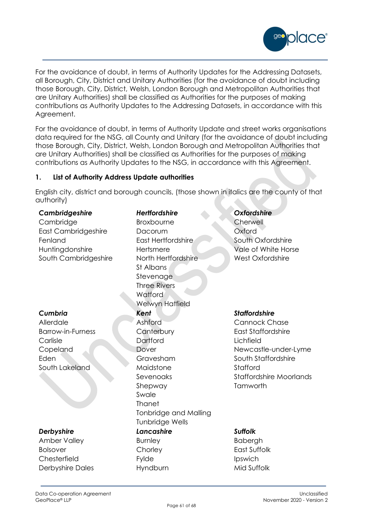

For the avoidance of doubt, in terms of Authority Updates for the Addressing Datasets, all Borough, City, District and Unitary Authorities (for the avoidance of doubt including those Borough, City, District, Welsh, London Borough and Metropolitan Authorities that are Unitary Authorities) shall be classified as Authorities for the purposes of making contributions as Authority Updates to the Addressing Datasets, in accordance with this Agreement.

For the avoidance of doubt, in terms of Authority Update and street works organisations data required for the NSG, all County and Unitary (for the avoidance of doubt including those Borough, City, District, Welsh, London Borough and Metropolitan Authorities that are Unitary Authorities) shall be classified as Authorities for the purposes of making contributions as Authority Updates to the NSG, in accordance with this Agreement.

#### **1. List of Authority Address Update authorities**

English city, district and borough councils, (those shown in italics are the county of that authority)

| Cambridgeshire           | <b>Hertfordshire</b>      | <b>Oxfordshire</b>             |
|--------------------------|---------------------------|--------------------------------|
| Cambridge                | <b>Broxbourne</b>         | Cherwell                       |
| East Cambridgeshire      | Dacorum                   | Oxford                         |
| Fenland                  | <b>East Hertfordshire</b> | South Oxfordshire              |
| Huntingdonshire          | Hertsmere                 | Vale of White Horse            |
| South Cambridgeshire     | North Hertfordshire       | <b>West Oxfordshire</b>        |
|                          | St Albans                 |                                |
|                          | Stevenage                 |                                |
|                          | <b>Three Rivers</b>       |                                |
|                          | Watford                   |                                |
|                          | Welwyn Hatfield           |                                |
| Cumbria                  | Kent                      | <b>Staffordshire</b>           |
| Allerdale                | Ashford                   | <b>Cannock Chase</b>           |
| <b>Barrow-in-Furness</b> | Canterbury                | <b>East Staffordshire</b>      |
| Carlisle                 | Dartford                  | Lichfield                      |
| Copeland                 | Dover                     | Newcastle-under-Lyme           |
| Eden                     | Gravesham                 | South Staffordshire            |
| South Lakeland           | Maidstone                 | Stafford                       |
|                          | Sevenoaks                 | <b>Staffordshire Moorlands</b> |
|                          | Shepway                   | Tamworth                       |
|                          | Swale                     |                                |
|                          | Thanet                    |                                |
|                          | Tonbridge and Malling     |                                |
|                          | Tunbridge Wells           |                                |
| Derbyshire               | Lancashire                | <b>Suffolk</b>                 |
| <b>Amber Valley</b>      | <b>Burnley</b>            | <b>Babergh</b>                 |
| <b>Bolsover</b>          | Chorley                   | East Suffolk                   |
| Chesterfield             | Fylde                     | Ipswich                        |
| <b>Derbyshire Dales</b>  | Hyndburn                  | Mid Suffolk                    |
|                          |                           |                                |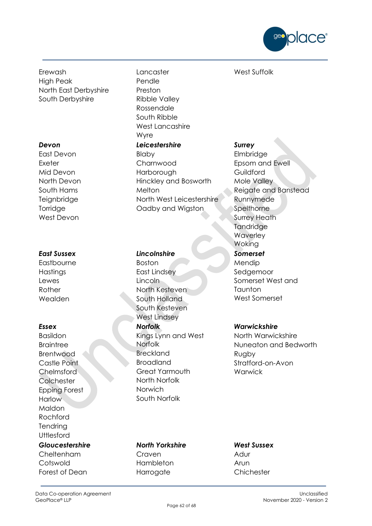

Erewash High Peak North East Derbyshire South Derbyshire

#### *Devon*

East Devon **Exeter** Mid Devon North Devon South Hams **Teignbridge Torridge** West Devon

#### *East Sussex*

Eastbourne **Hastings** Lewes Rother Wealden

#### *Essex*

Basildon **Braintree** Brentwood Castle Point Chelmsford **Colchester** Epping Forest **Harlow** Maldon Rochford **Tendring Uttlesford** *Gloucestershire*  Cheltenham Cotswold Forest of Dean

Lancaster Pendle Preston Ribble Valley Rossendale South Ribble West Lancashire **Wyre** *Leicestershire*  Blaby Charnwood Harborough Hinckley and Bosworth Melton North West Leicestershire Oadby and Wigston

#### *Lincolnshire*

Boston East Lindsey Lincoln North Kesteven South Holland South Kesteven West Lindsey

*Norfolk*  Kings Lynn and West Norfolk Breckland Broadland Great Yarmouth North Norfolk Norwich South Norfolk

*North Yorkshire*  Craven Hambleton Harrogate

West Suffolk

#### *Surrey*

Elmbridge Epsom and Ewell Guildford Mole Valley Reigate and Banstead Runnymede Spelthorne Surrey Heath **Tandridge Waverley Woking** *Somerset*  Mendip Sedgemoor Somerset West and Taunton West Somerset

#### *Warwickshire*

North Warwickshire Nuneaton and Bedworth Rugby Stratford-on-Avon Warwick

#### *West Sussex*  Adur Arun **Chichester**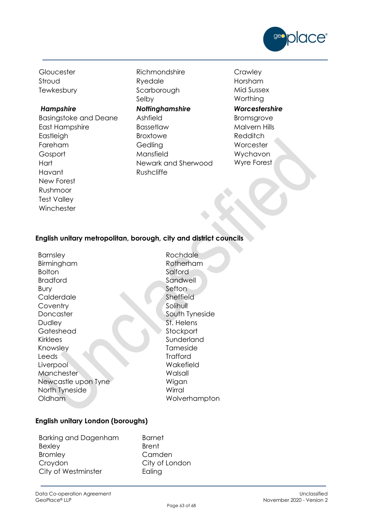

**Gloucester** Stroud **Tewkesbury** 

#### *Hampshire*

Basingstoke and Deane East Hampshire Eastleigh Fareham Gosport Hart Havant New Forest Rushmoor Test Valley **Winchester** 

Richmondshire Ryedale Scarborough Selby *Nottinghamshire*  Ashfield Bassetlaw Broxtowe **Gedling** Mansfield Newark and Sherwood Rushcliffe

**Crawley** Horsham Mid Sussex Worthing

#### *Worcestershire*

Bromsgrove Malvern Hills Redditch **Worcester** Wychavon Wyre Forest

#### **English unitary metropolitan, borough, city and district councils**

Barnsley **Rochdale** Birmingham **Birmingham** Rotherham Bolton Salford Bradford Sandwell Bury Sefton Calderdale Sheffield Coventry Solihull Solihull Doncaster South Tyneside Dudley St. Helens Gateshead Stockport Kirklees Sunderland Knowsley Tameside Leeds Trafford Liverpool Wakefield Manchester Walsall Newcastle upon Tyne Wigan North Tyneside North Tyneside Oldham Wolverhampton

#### **English unitary London (boroughs)**

| Barking and Dagenham | <b>Barnet</b>  |
|----------------------|----------------|
| Bexley               | <b>Brent</b>   |
| <b>Bromley</b>       | Camden         |
| Croydon              | City of London |
| City of Westminster  | Ealing         |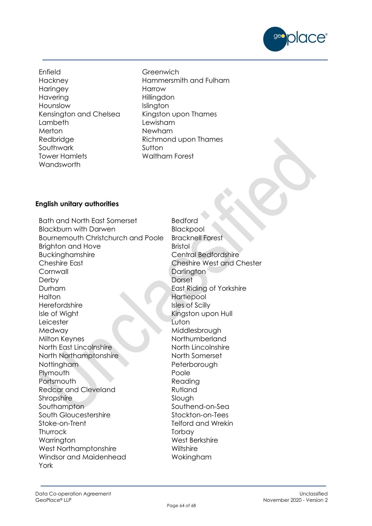

- Enfield Greenwich Haringey Harrow Havering Hillingdon Hounslow Islington Kensington and Chelsea Kingston upon Thames Lambeth Lewisham Merton Newham Redbridge Richmond upon Thames Southwark Sutton Tower Hamlets Waltham Forest **Wandsworth**
- Hackney Hammersmith and Fulham

#### **English unitary authorities**

Bath and North East Somerset Bedford Blackburn with Darwen **Blackpool** Bournemouth Christchurch and Poole Bracknell Forest Brighton and Hove Bristol Buckinghamshire **Central Bedfordshire** Cheshire East Cheshire West and Chester Cornwall **Darlington** Derby Dorset Durham East Riding of Yorkshire Halton **Hartlepool** Herefordshire Isles of Scilly Isle of Wight Kingston upon Hull Leicester Luton Medway Middlesbrough Milton Keynes Northumberland North East Lincolnshire North Lincolnshire North Northamptonshire North Somerset Nottingham Peterborough Plymouth Poole Portsmouth Reading Redcar and Cleveland **Rutland** Rutland Shropshire Slough Southampton Southend-on-Sea South Gloucestershire Stockton-on-Tees Stoke-on-Trent Telford and Wrekin Thurrock Torbay Warrington West Berkshire West Northamptonshire Wiltshire Windsor and Maidenhead Wokingham York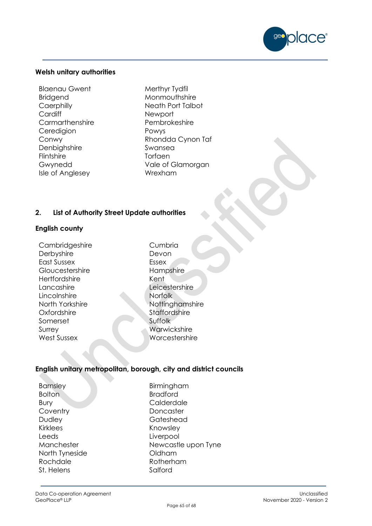

#### **Welsh unitary authorities**

- Blaenau Gwent Merthyr Tydfil Bridgend Monmouthshire Caerphilly **Neath Port Talbot** Cardiff Newport Carmarthenshire Pembrokeshire Ceredigion **Powys** Denbighshire Swansea Flintshire Torfaen Isle of Anglesey Wrexham
- Conwy Rhondda Cynon Taf Gwynedd Vale of Glamorgan

#### **2. List of Authority Street Update authorities**

#### **English county**

Cambridgeshire Cumbria Derbyshire Devon East Sussex Essex Gloucestershire Hampshire Hertfordshire Kent Lancashire Leicestershire Lincolnshire Norfolk North Yorkshire Nottinghamshire Oxfordshire Staffordshire Somerset Suffolk Surrey Warwickshire West Sussex Worcestershire

#### **English unitary metropolitan, borough, city and district councils**

Barnsley **Birmingham** Bolton **Bradford** Bury Calderdale Coventry Doncaster Dudley Gateshead Kirklees Knowsley Leeds Liverpool North Tyneside **Oldham** Rochdale Rotherham St. Helens Salford

Manchester Newcastle upon Tyne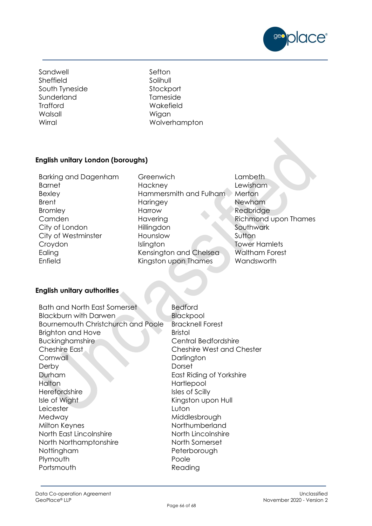

- Sandwell Sefton Sheffield Solihull South Tyneside Stockport Sunderland Tameside Trafford Wakefield Walsall Wigan
- Wirral Wolverhampton

#### **English unitary London (boroughs)**

- Barking and Dagenham Greenwich Lambeth Barnet Hackney Hackney Lewisham Bexley **Hammersmith and Fulham** Merton Brent Haringey Newham Bromley Harrow Harrow Redbridge Camden Havering Richmond upon Thames City of London Hillingdon Southwark **City of Westminster Hounslow Sutton** Croydon Islington Islam Islam Islam Islam Islam Islam Islam Islam Islam Islam Islam Islam Islam Islam Islam Islam Islam Islam Islam Islam Islam Islam Islam Islam Islam Islam Islam Islam Islam Islam Islam Islam Islam Islam Ealing **Early Rensington and Chelsea** Waltham Forest Enfield Kingston upon Thames Wandsworth
	-

#### **English unitary authorities**

| Bath and North East Somerset              | <b>Bedford</b>            |
|-------------------------------------------|---------------------------|
| Blackburn with Darwen                     | Blackpool                 |
| <b>Bournemouth Christchurch and Poole</b> | <b>Bracknell Forest</b>   |
| Brighton and Hove                         | <b>Bristol</b>            |
| <b>Buckinghamshire</b>                    | Central Bedfordshire      |
| <b>Cheshire East</b>                      | Cheshire West and Chester |
| Cornwall                                  | Darlington                |
| Derby                                     | Dorset                    |
| Durham                                    | East Riding of Yorkshire  |
| <b>Halton</b>                             | Hartlepool                |
| Herefordshire                             | Isles of Scilly           |
| Isle of Wight                             | Kingston upon Hull        |
| Leicester                                 | Luton                     |
| Medway                                    | Middlesbrough             |
| Milton Keynes                             | Northumberland            |
| North East Lincolnshire                   | North Lincolnshire        |
| North Northamptonshire                    | North Somerset            |
| Nottingham                                | Peterborough              |
| Plymouth                                  | Poole                     |
| Portsmouth                                | Reading                   |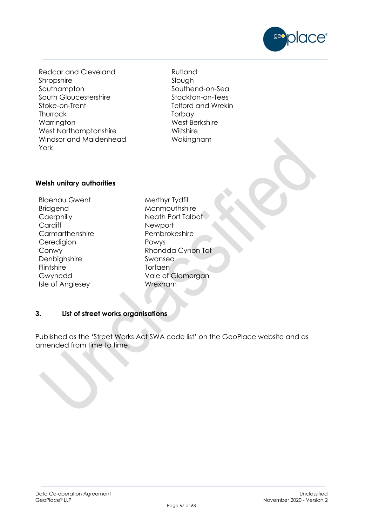

- Redcar and Cleveland **Rutland** Rutland Shropshire Slough Southampton Southend-on-Sea South Gloucestershire Stockton-on-Tees Stoke-on-Trent Telford and Wrekin Thurrock Torbay Warrington West Berkshire West Northamptonshire Wiltshire Windsor and Maidenhead Wokingham York
	-

#### **Welsh unitary authorities**

Blaenau Gwent Merthyr Tydfil Bridgend Monmouthshire Caerphilly **Neath Port Talbot** Cardiff Newport Carmarthenshire Pembrokeshire Ceredigion **Powys** Denbighshire Swansea Flintshire Torfaen Isle of Anglesey Wrexham

Conwy Rhondda Cynon Taf Gwynedd Vale of Glamorgan

#### **3. List of street works organisations**

Published as the 'Street Works Act SWA code list' on the GeoPlace website and as amended from time to time.